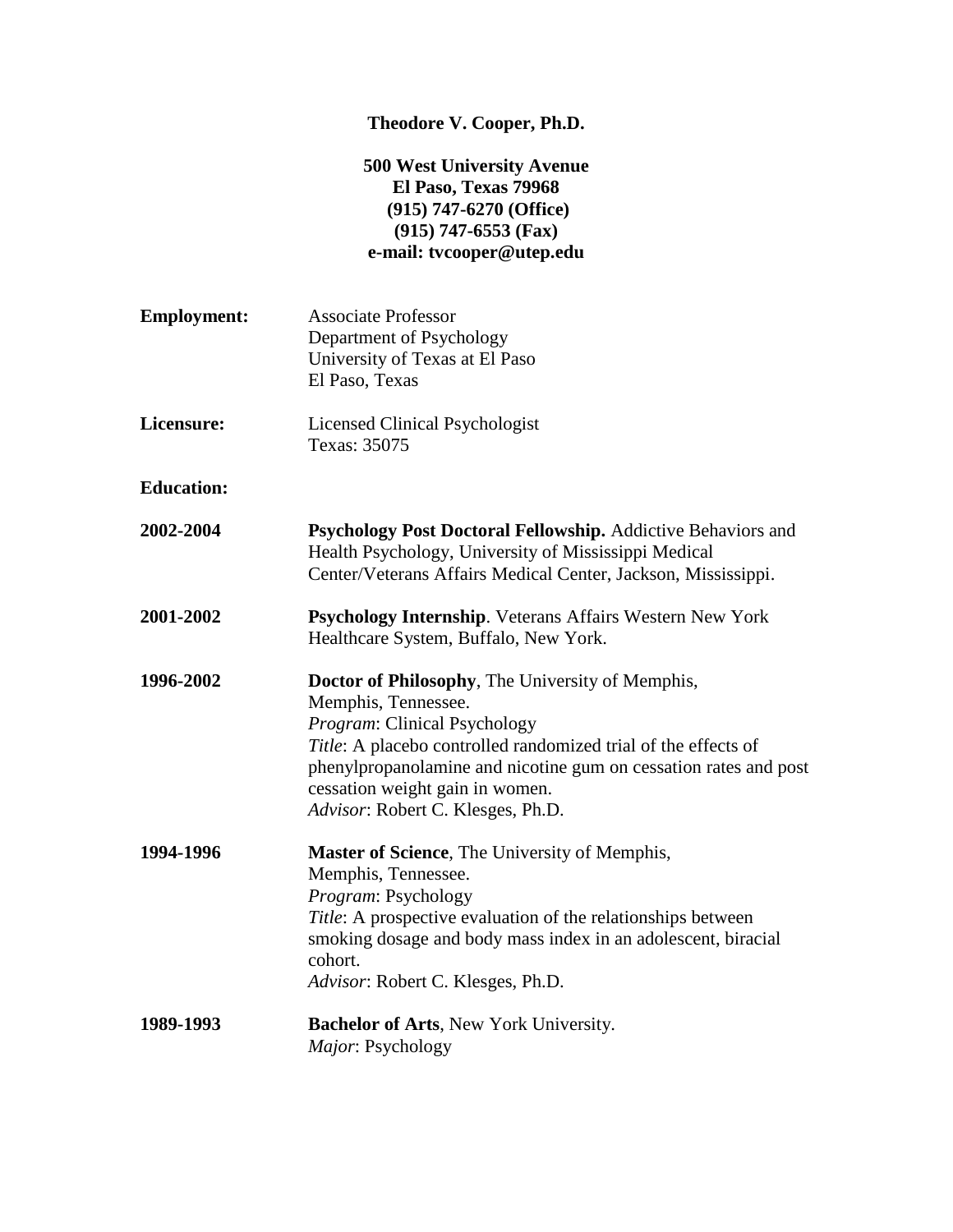# **Theodore V. Cooper, Ph.D.**

# **500 West University Avenue El Paso, Texas 79968 (915) 747-6270 (Office) (915) 747-6553 (Fax) e-mail: tvcooper@utep.edu**

| <b>Employment:</b> | <b>Associate Professor</b><br>Department of Psychology<br>University of Texas at El Paso<br>El Paso, Texas                                                                                                                                                                                                            |
|--------------------|-----------------------------------------------------------------------------------------------------------------------------------------------------------------------------------------------------------------------------------------------------------------------------------------------------------------------|
| Licensure:         | <b>Licensed Clinical Psychologist</b><br>Texas: 35075                                                                                                                                                                                                                                                                 |
| <b>Education:</b>  |                                                                                                                                                                                                                                                                                                                       |
| 2002-2004          | Psychology Post Doctoral Fellowship. Addictive Behaviors and<br>Health Psychology, University of Mississippi Medical<br>Center/Veterans Affairs Medical Center, Jackson, Mississippi.                                                                                                                                 |
| 2001-2002          | <b>Psychology Internship.</b> Veterans Affairs Western New York<br>Healthcare System, Buffalo, New York.                                                                                                                                                                                                              |
| 1996-2002          | Doctor of Philosophy, The University of Memphis,<br>Memphis, Tennessee.<br>Program: Clinical Psychology<br>Title: A placebo controlled randomized trial of the effects of<br>phenylpropanolamine and nicotine gum on cessation rates and post<br>cessation weight gain in women.<br>Advisor: Robert C. Klesges, Ph.D. |
| 1994-1996          | <b>Master of Science</b> , The University of Memphis,<br>Memphis, Tennessee.<br>Program: Psychology<br>Title: A prospective evaluation of the relationships between<br>smoking dosage and body mass index in an adolescent, biracial<br>cohort.<br>Advisor: Robert C. Klesges, Ph.D.                                  |
| 1989-1993          | <b>Bachelor of Arts, New York University.</b><br>Major: Psychology                                                                                                                                                                                                                                                    |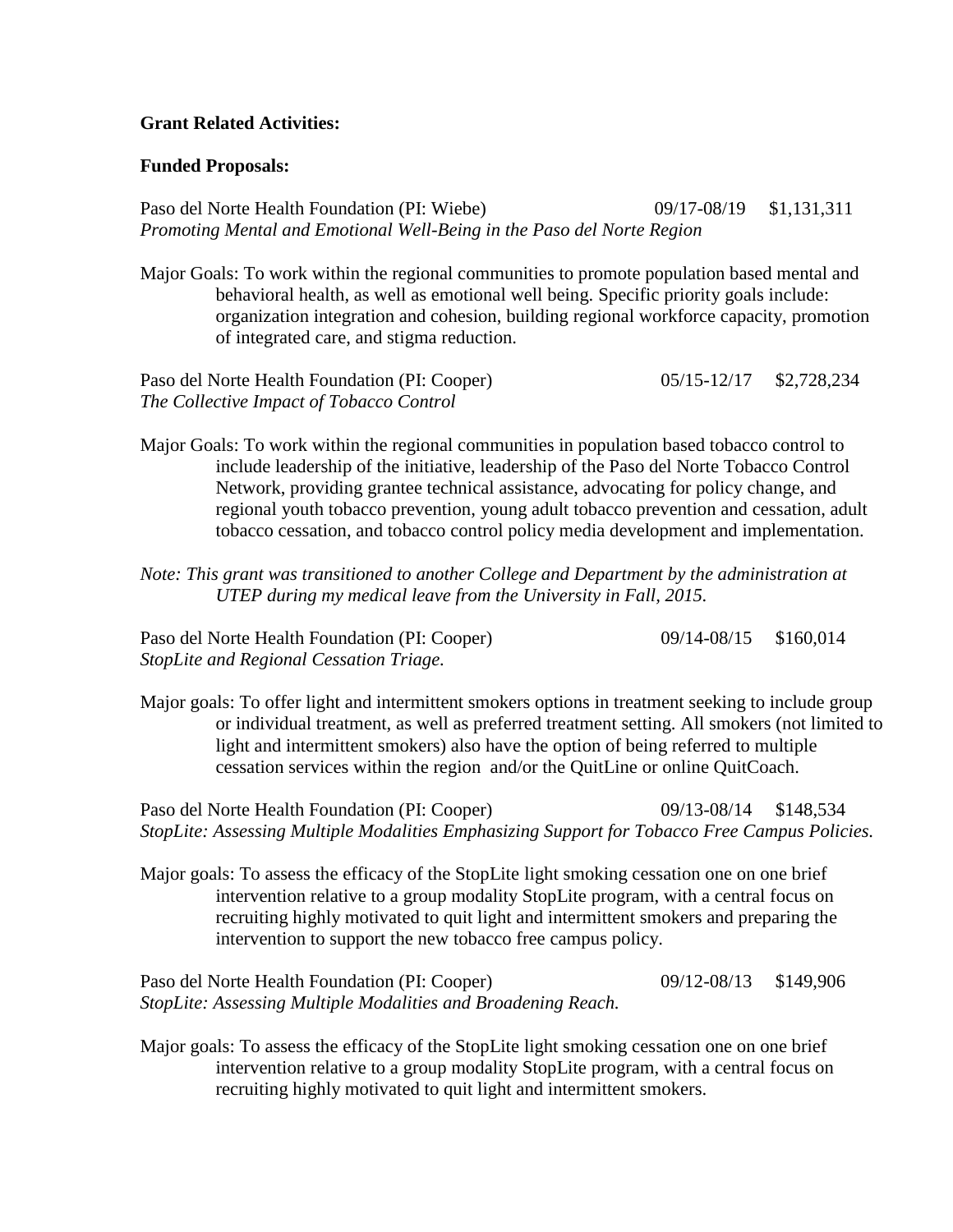### **Grant Related Activities:**

### **Funded Proposals:**

Paso del Norte Health Foundation (PI: Wiebe) 09/17-08/19 \$1,131,311 *Promoting Mental and Emotional Well-Being in the Paso del Norte Region*

Major Goals: To work within the regional communities to promote population based mental and behavioral health, as well as emotional well being. Specific priority goals include: organization integration and cohesion, building regional workforce capacity, promotion of integrated care, and stigma reduction.

Paso del Norte Health Foundation (PI: Cooper) 05/15-12/17 \$2,728,234 *The Collective Impact of Tobacco Control*

- Major Goals: To work within the regional communities in population based tobacco control to include leadership of the initiative, leadership of the Paso del Norte Tobacco Control Network, providing grantee technical assistance, advocating for policy change, and regional youth tobacco prevention, young adult tobacco prevention and cessation, adult tobacco cessation, and tobacco control policy media development and implementation.
- *Note: This grant was transitioned to another College and Department by the administration at UTEP during my medical leave from the University in Fall, 2015.*

Paso del Norte Health Foundation (PI: Cooper) 09/14-08/15 \$160,014 *StopLite and Regional Cessation Triage.* 

Major goals: To offer light and intermittent smokers options in treatment seeking to include group or individual treatment, as well as preferred treatment setting. All smokers (not limited to light and intermittent smokers) also have the option of being referred to multiple cessation services within the region and/or the QuitLine or online QuitCoach.

Paso del Norte Health Foundation (PI: Cooper) 09/13-08/14 \$148,534 *StopLite: Assessing Multiple Modalities Emphasizing Support for Tobacco Free Campus Policies.* 

Major goals: To assess the efficacy of the StopLite light smoking cessation one on one brief intervention relative to a group modality StopLite program, with a central focus on recruiting highly motivated to quit light and intermittent smokers and preparing the intervention to support the new tobacco free campus policy.

Paso del Norte Health Foundation (PI: Cooper) 09/12-08/13 \$149,906 *StopLite: Assessing Multiple Modalities and Broadening Reach.* 

Major goals: To assess the efficacy of the StopLite light smoking cessation one on one brief intervention relative to a group modality StopLite program, with a central focus on recruiting highly motivated to quit light and intermittent smokers.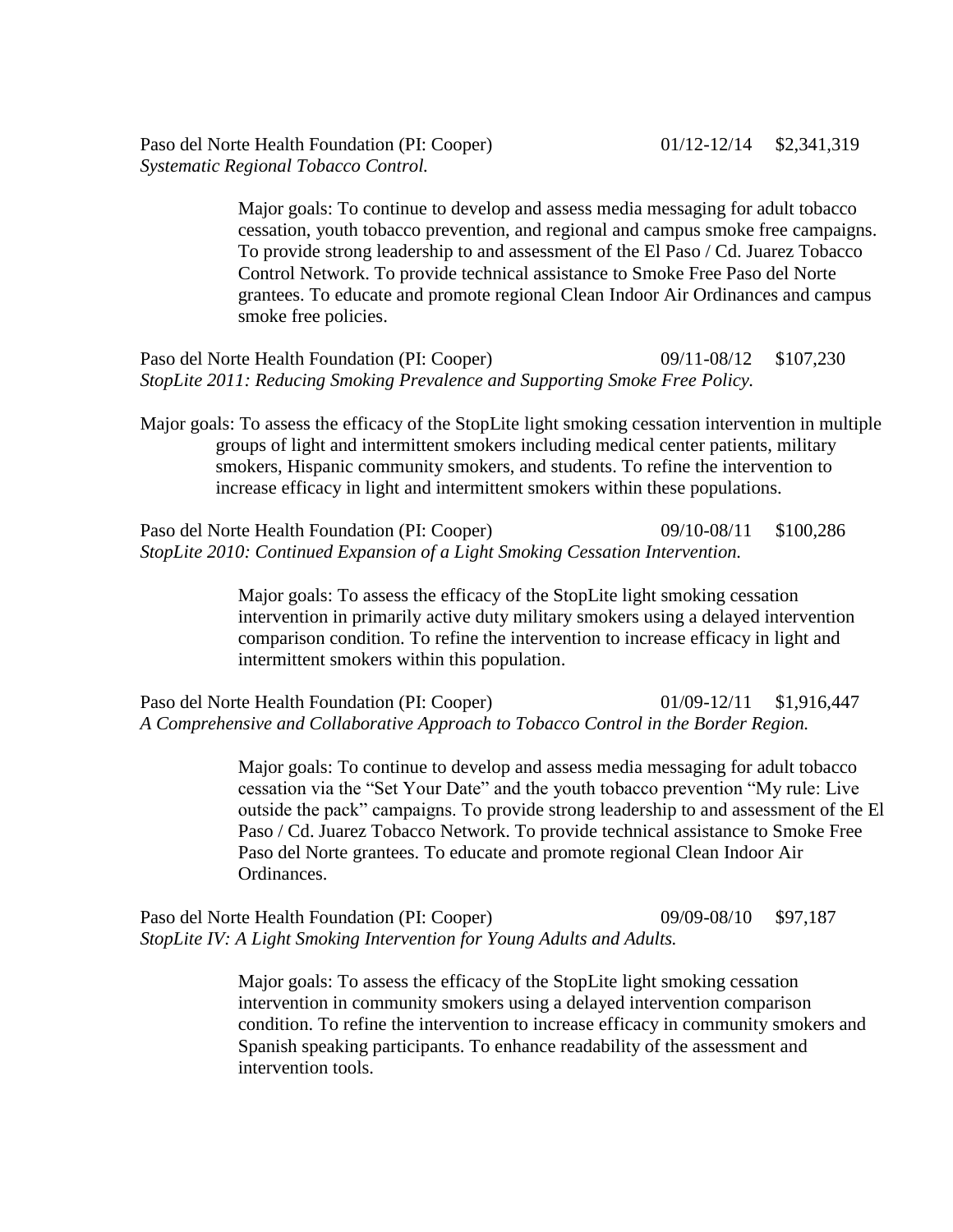Paso del Norte Health Foundation (PI: Cooper) 01/12-12/14 \$2,341,319 *Systematic Regional Tobacco Control.*

> Major goals: To continue to develop and assess media messaging for adult tobacco cessation, youth tobacco prevention, and regional and campus smoke free campaigns. To provide strong leadership to and assessment of the El Paso / Cd. Juarez Tobacco Control Network. To provide technical assistance to Smoke Free Paso del Norte grantees. To educate and promote regional Clean Indoor Air Ordinances and campus smoke free policies.

Paso del Norte Health Foundation (PI: Cooper) 09/11-08/12 \$107,230 *StopLite 2011: Reducing Smoking Prevalence and Supporting Smoke Free Policy.* 

Major goals: To assess the efficacy of the StopLite light smoking cessation intervention in multiple groups of light and intermittent smokers including medical center patients, military smokers, Hispanic community smokers, and students. To refine the intervention to increase efficacy in light and intermittent smokers within these populations.

Paso del Norte Health Foundation (PI: Cooper) 09/10-08/11 \$100,286 *StopLite 2010: Continued Expansion of a Light Smoking Cessation Intervention.* 

> Major goals: To assess the efficacy of the StopLite light smoking cessation intervention in primarily active duty military smokers using a delayed intervention comparison condition. To refine the intervention to increase efficacy in light and intermittent smokers within this population.

Paso del Norte Health Foundation (PI: Cooper) 01/09-12/11 \$1,916,447 *A Comprehensive and Collaborative Approach to Tobacco Control in the Border Region.*

> Major goals: To continue to develop and assess media messaging for adult tobacco cessation via the "Set Your Date" and the youth tobacco prevention "My rule: Live outside the pack" campaigns. To provide strong leadership to and assessment of the El Paso / Cd. Juarez Tobacco Network. To provide technical assistance to Smoke Free Paso del Norte grantees. To educate and promote regional Clean Indoor Air Ordinances.

Paso del Norte Health Foundation (PI: Cooper) 09/09-08/10 \$97,187 *StopLite IV: A Light Smoking Intervention for Young Adults and Adults.* 

> Major goals: To assess the efficacy of the StopLite light smoking cessation intervention in community smokers using a delayed intervention comparison condition. To refine the intervention to increase efficacy in community smokers and Spanish speaking participants. To enhance readability of the assessment and intervention tools.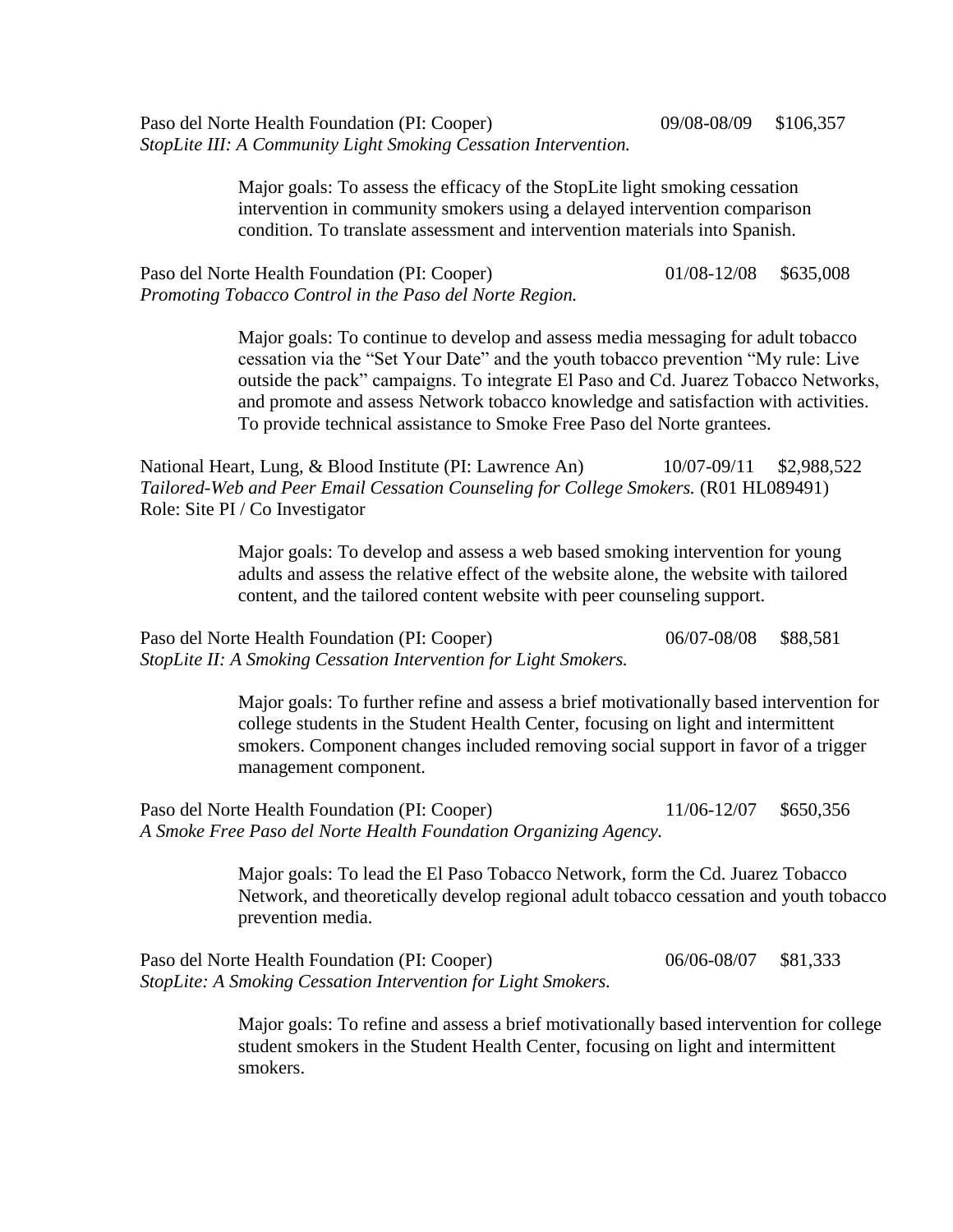Paso del Norte Health Foundation (PI: Cooper) 09/08-08/09 \$106,357 *StopLite III: A Community Light Smoking Cessation Intervention.* 

> Major goals: To assess the efficacy of the StopLite light smoking cessation intervention in community smokers using a delayed intervention comparison condition. To translate assessment and intervention materials into Spanish.

Paso del Norte Health Foundation (PI: Cooper) 01/08-12/08 \$635,008 *Promoting Tobacco Control in the Paso del Norte Region.*

> Major goals: To continue to develop and assess media messaging for adult tobacco cessation via the "Set Your Date" and the youth tobacco prevention "My rule: Live outside the pack" campaigns. To integrate El Paso and Cd. Juarez Tobacco Networks, and promote and assess Network tobacco knowledge and satisfaction with activities. To provide technical assistance to Smoke Free Paso del Norte grantees.

National Heart, Lung, & Blood Institute (PI: Lawrence An) 10/07-09/11 \$2,988,522 *Tailored-Web and Peer Email Cessation Counseling for College Smokers.* (R01 HL089491) Role: Site PI / Co Investigator

> Major goals: To develop and assess a web based smoking intervention for young adults and assess the relative effect of the website alone, the website with tailored content, and the tailored content website with peer counseling support.

Paso del Norte Health Foundation (PI: Cooper) 06/07-08/08 \$88,581 *StopLite II: A Smoking Cessation Intervention for Light Smokers.* 

> Major goals: To further refine and assess a brief motivationally based intervention for college students in the Student Health Center, focusing on light and intermittent smokers. Component changes included removing social support in favor of a trigger management component.

Paso del Norte Health Foundation (PI: Cooper) 11/06-12/07 \$650,356 *A Smoke Free Paso del Norte Health Foundation Organizing Agency.*

> Major goals: To lead the El Paso Tobacco Network, form the Cd. Juarez Tobacco Network, and theoretically develop regional adult tobacco cessation and youth tobacco prevention media.

Paso del Norte Health Foundation (PI: Cooper) 06/06-08/07 \$81,333 *StopLite: A Smoking Cessation Intervention for Light Smokers.* 

> Major goals: To refine and assess a brief motivationally based intervention for college student smokers in the Student Health Center, focusing on light and intermittent smokers.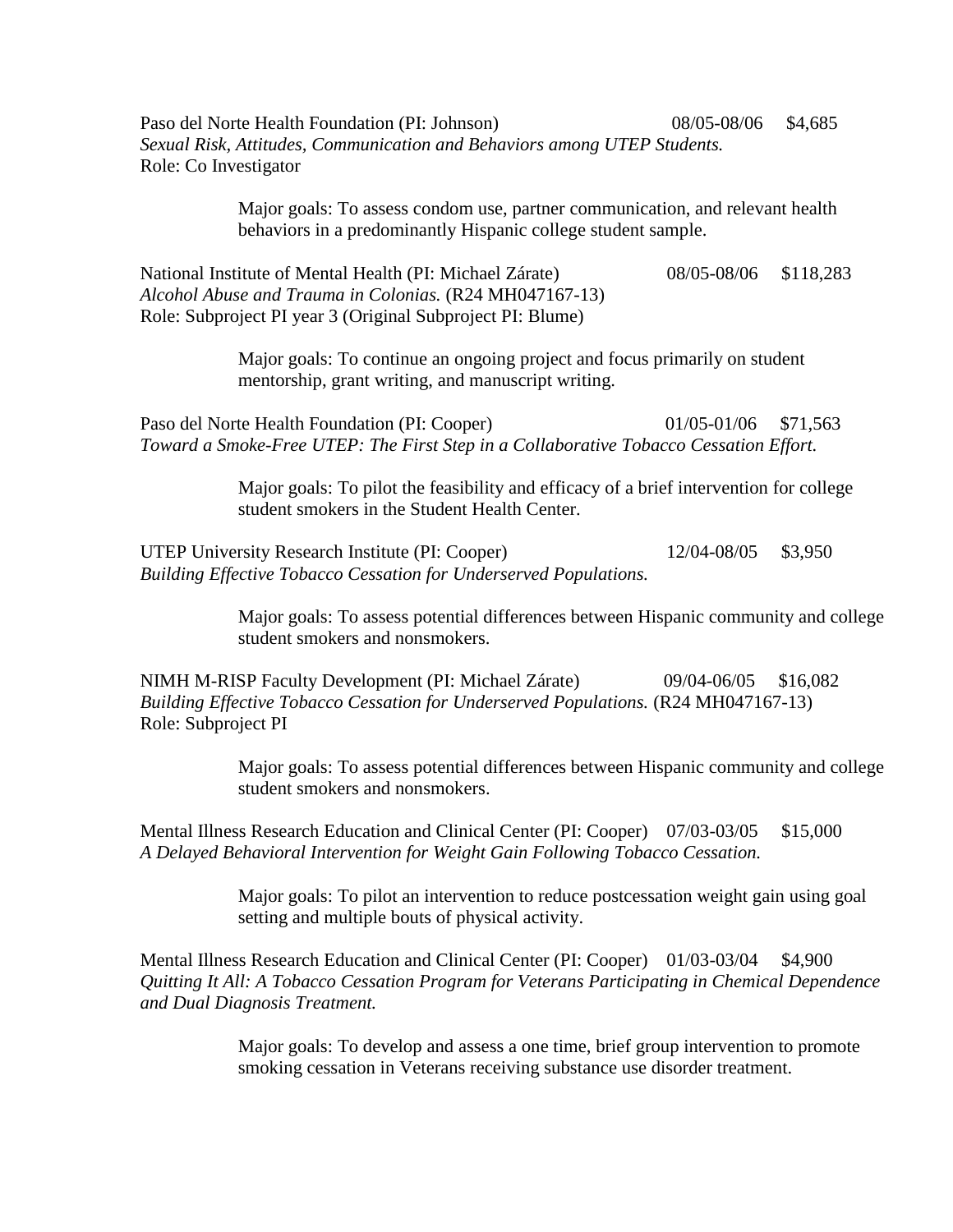Paso del Norte Health Foundation (PI: Johnson) 08/05-08/06 \$4,685 *Sexual Risk, Attitudes, Communication and Behaviors among UTEP Students.*  Role: Co Investigator

> Major goals: To assess condom use, partner communication, and relevant health behaviors in a predominantly Hispanic college student sample.

National Institute of Mental Health (PI: Michael Zárate) 08/05-08/06 \$118,283 *Alcohol Abuse and Trauma in Colonias.* (R24 MH047167-13) Role: Subproject PI year 3 (Original Subproject PI: Blume)

> Major goals: To continue an ongoing project and focus primarily on student mentorship, grant writing, and manuscript writing.

Paso del Norte Health Foundation (PI: Cooper) 01/05-01/06 \$71,563 *Toward a Smoke-Free UTEP: The First Step in a Collaborative Tobacco Cessation Effort.*

> Major goals: To pilot the feasibility and efficacy of a brief intervention for college student smokers in the Student Health Center.

UTEP University Research Institute (PI: Cooper) 12/04-08/05 \$3,950 *Building Effective Tobacco Cessation for Underserved Populations.* 

> Major goals: To assess potential differences between Hispanic community and college student smokers and nonsmokers.

NIMH M-RISP Faculty Development (PI: Michael Zárate) 09/04-06/05 \$16,082 *Building Effective Tobacco Cessation for Underserved Populations.* (R24 MH047167-13) Role: Subproject PI

> Major goals: To assess potential differences between Hispanic community and college student smokers and nonsmokers.

Mental Illness Research Education and Clinical Center (PI: Cooper) 07/03-03/05 \$15,000 *A Delayed Behavioral Intervention for Weight Gain Following Tobacco Cessation.* 

> Major goals: To pilot an intervention to reduce postcessation weight gain using goal setting and multiple bouts of physical activity.

Mental Illness Research Education and Clinical Center (PI: Cooper) 01/03-03/04 \$4,900 *Quitting It All: A Tobacco Cessation Program for Veterans Participating in Chemical Dependence and Dual Diagnosis Treatment.*

> Major goals: To develop and assess a one time, brief group intervention to promote smoking cessation in Veterans receiving substance use disorder treatment.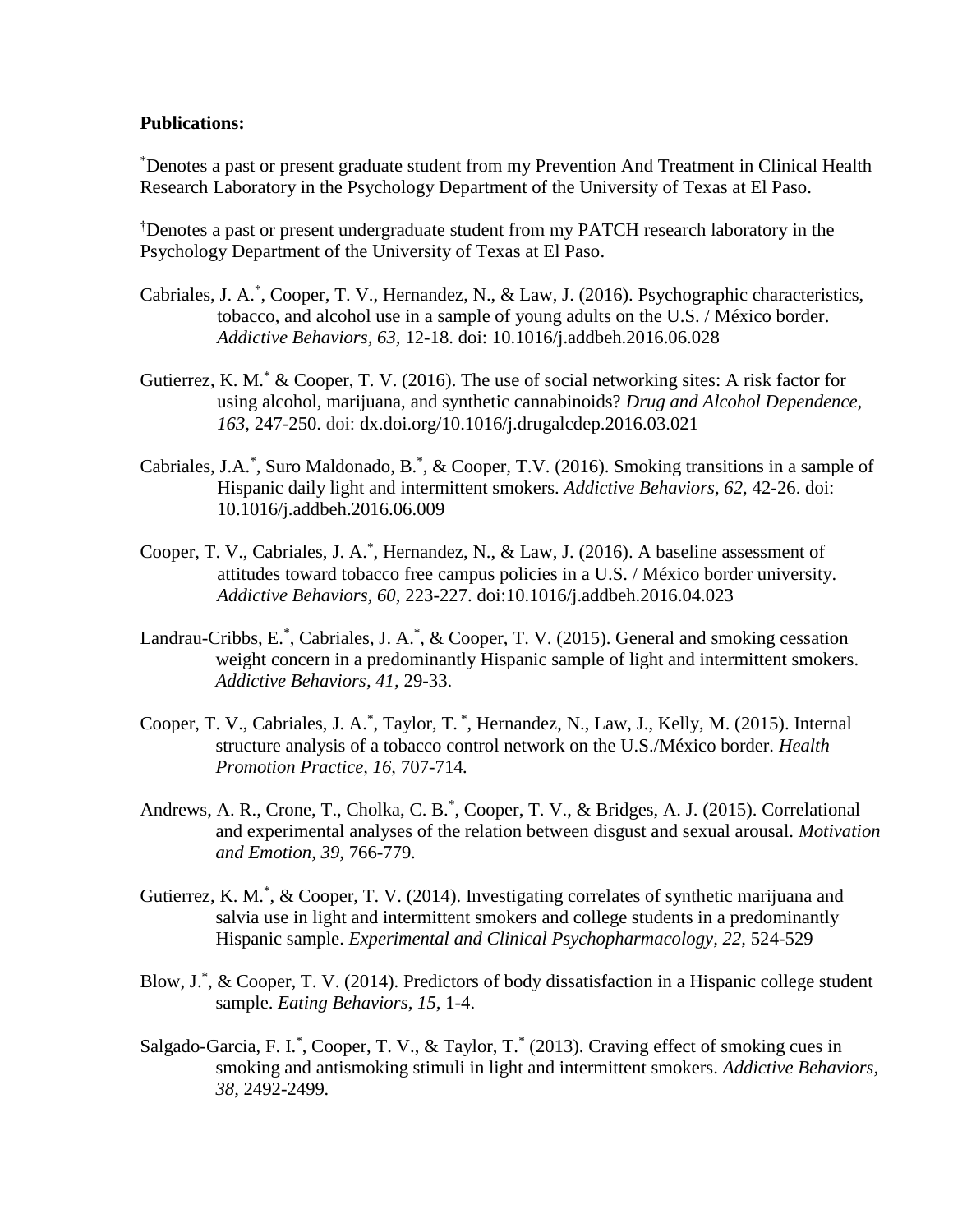#### **Publications:**

\*Denotes a past or present graduate student from my Prevention And Treatment in Clinical Health Research Laboratory in the Psychology Department of the University of Texas at El Paso.

†Denotes a past or present undergraduate student from my PATCH research laboratory in the Psychology Department of the University of Texas at El Paso.

- Cabriales, J. A.<sup>\*</sup>, Cooper, T. V., Hernandez, N., & Law, J. (2016). Psychographic characteristics, tobacco, and alcohol use in a sample of young adults on the U.S. / México border. *Addictive Behaviors, 63,* 12-18. doi: 10.1016/j.addbeh.2016.06.028
- Gutierrez, K. M.<sup>\*</sup> & Cooper, T. V. (2016). The use of social networking sites: A risk factor for using alcohol, marijuana, and synthetic cannabinoids? *Drug and Alcohol Dependence, 163,* 247-250. doi: dx.doi.org/10.1016/j.drugalcdep.2016.03.021
- Cabriales, J.A.\*, Suro Maldonado, B.\*, & Cooper, T.V. (2016). Smoking transitions in a sample of Hispanic daily light and intermittent smokers. *Addictive Behaviors, 62,* 42-26. doi: 10.1016/j.addbeh.2016.06.009
- Cooper, T. V., Cabriales, J. A.\* , Hernandez, N., & Law, J. (2016). A baseline assessment of attitudes toward tobacco free campus policies in a U.S. / México border university. *Addictive Behaviors, 60*, 223-227. doi:10.1016/j.addbeh.2016.04.023
- Landrau-Cribbs, E.\*, Cabriales, J. A.\*, & Cooper, T. V. (2015). General and smoking cessation weight concern in a predominantly Hispanic sample of light and intermittent smokers. *Addictive Behaviors, 41,* 29-33.
- Cooper, T. V., Cabriales, J. A.<sup>\*</sup>, Taylor, T.<sup>\*</sup>, Hernandez, N., Law, J., Kelly, M. (2015). Internal structure analysis of a tobacco control network on the U.S./México border. *Health Promotion Practice, 16,* 707-714*.*
- Andrews, A. R., Crone, T., Cholka, C. B.<sup>\*</sup>, Cooper, T. V., & Bridges, A. J. (2015). Correlational and experimental analyses of the relation between disgust and sexual arousal. *Motivation and Emotion, 39,* 766-779*.*
- Gutierrez, K. M.\*, & Cooper, T. V. (2014). Investigating correlates of synthetic marijuana and salvia use in light and intermittent smokers and college students in a predominantly Hispanic sample. *Experimental and Clinical Psychopharmacology, 22,* 524-529
- Blow, J.\* , & Cooper, T. V. (2014). Predictors of body dissatisfaction in a Hispanic college student sample. *Eating Behaviors, 15,* 1-4.
- Salgado-Garcia, F. I.\*, Cooper, T. V., & Taylor, T.\* (2013). Craving effect of smoking cues in smoking and antismoking stimuli in light and intermittent smokers. *Addictive Behaviors, 38,* 2492-2499*.*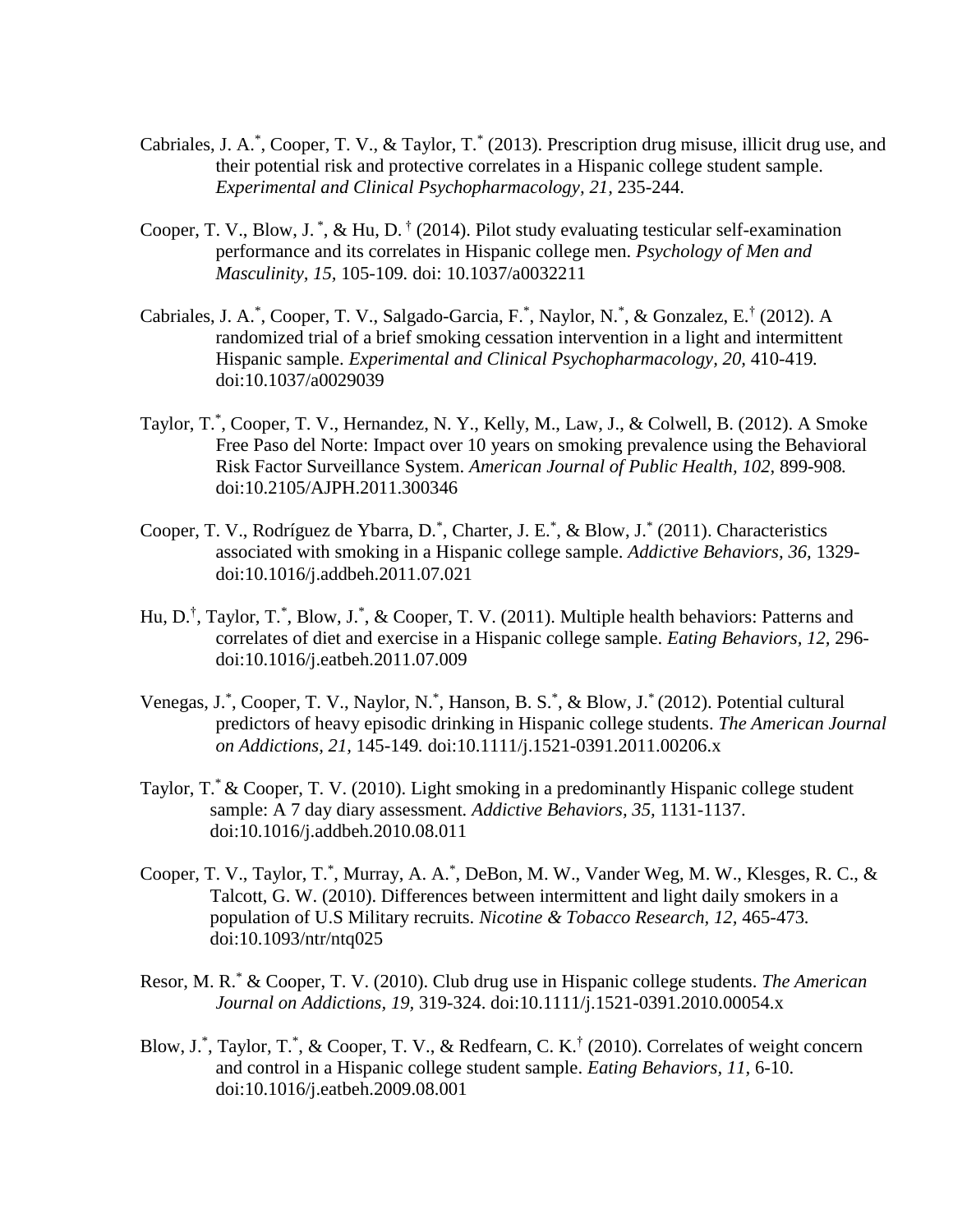- Cabriales, J. A.\*, Cooper, T. V., & Taylor, T.\* (2013). Prescription drug misuse, illicit drug use, and their potential risk and protective correlates in a Hispanic college student sample. *Experimental and Clinical Psychopharmacology, 21,* 235-244.
- Cooper, T. V., Blow, J.<sup>\*</sup>, & Hu, D.<sup>†</sup> (2014). Pilot study evaluating testicular self-examination performance and its correlates in Hispanic college men. *Psychology of Men and Masculinity, 15,* 105-109*.* doi: [10.1037/a0032211](http://psycnet.apa.org/doi/10.1037/a0032211)
- Cabriales, J. A.<sup>\*</sup>, Cooper, T. V., Salgado-Garcia, F.<sup>\*</sup>, Naylor, N.<sup>\*</sup>, & Gonzalez, E.<sup>†</sup> (2012). A randomized trial of a brief smoking cessation intervention in a light and intermittent Hispanic sample. *Experimental and Clinical Psychopharmacology, 20,* 410-419*.* doi:10.1037/a0029039
- Taylor, T.\* , Cooper, T. V., Hernandez, N. Y., Kelly, M., Law, J., & Colwell, B. (2012). A Smoke Free Paso del Norte: Impact over 10 years on smoking prevalence using the Behavioral Risk Factor Surveillance System. *American Journal of Public Health, 102,* 899-908*.* doi:10.2105/AJPH.2011.300346
- Cooper, T. V., Rodríguez de Ybarra, D.<sup>\*</sup>, Charter, J. E.<sup>\*</sup>, & Blow, J.<sup>\*</sup> (2011). Characteristics associated with smoking in a Hispanic college sample. *Addictive Behaviors, 36,* 1329 doi:10.1016/j.addbeh.2011.07.021
- Hu, D.<sup>†</sup>, Taylor, T.<sup>\*</sup>, Blow, J.<sup>\*</sup>, & Cooper, T. V. (2011). Multiple health behaviors: Patterns and correlates of diet and exercise in a Hispanic college sample. *Eating Behaviors, 12,* 296 doi:10.1016/j.eatbeh.2011.07.009
- Venegas, J.\*, Cooper, T. V., Naylor, N.\*, Hanson, B. S.\*, & Blow, J.\* (2012). Potential cultural predictors of heavy episodic drinking in Hispanic college students. *The American Journal on Addictions, 21,* 145-149*.* doi:10.1111/j.1521-0391.2011.00206.x
- Taylor, T.\* & Cooper, T. V. (2010). Light smoking in a predominantly Hispanic college student sample: A 7 day diary assessment*. Addictive Behaviors, 35,* 1131-1137. doi:10.1016/j.addbeh.2010.08.011
- Cooper, T. V., Taylor, T.\*, Murray, A. A.\*, DeBon, M. W., Vander Weg, M. W., Klesges, R. C., & Talcott, G. W. (2010). Differences between intermittent and light daily smokers in a population of U.S Military recruits. *Nicotine & Tobacco Research, 12,* 465-473*.* doi:10.1093/ntr/ntq025
- Resor, M. R.\* & Cooper, T. V. (2010). Club drug use in Hispanic college students. *The American Journal on Addictions, 19,* 319-324. doi:10.1111/j.1521-0391.2010.00054.x
- Blow, J.\*, Taylor, T.\*, & Cooper, T. V., & Redfearn, C. K.<sup>†</sup> (2010). Correlates of weight concern and control in a Hispanic college student sample. *Eating Behaviors, 11,* 6-10. doi:10.1016/j.eatbeh.2009.08.001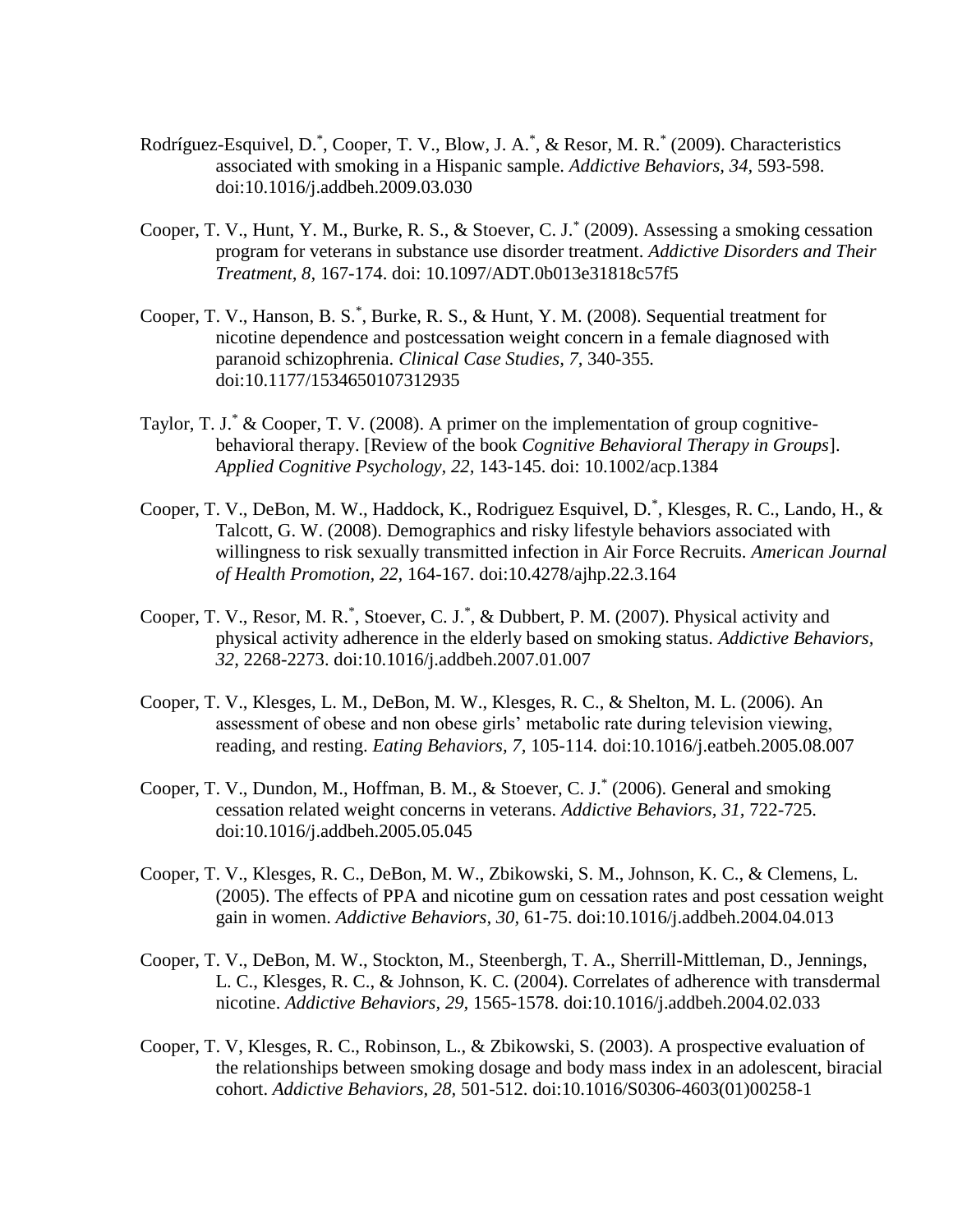- Rodríguez-Esquivel, D.<sup>\*</sup>, Cooper, T. V., Blow, J. A.<sup>\*</sup>, & Resor, M. R.<sup>\*</sup> (2009). Characteristics associated with smoking in a Hispanic sample. *Addictive Behaviors, 34,* 593-598. doi:10.1016/j.addbeh.2009.03.030
- Cooper, T. V., Hunt, Y. M., Burke, R. S., & Stoever, C. J.\* (2009). Assessing a smoking cessation program for veterans in substance use disorder treatment. *Addictive Disorders and Their Treatment, 8,* 167-174. doi: 10.1097/ADT.0b013e31818c57f5
- Cooper, T. V., Hanson, B. S.<sup>\*</sup>, Burke, R. S., & Hunt, Y. M. (2008). Sequential treatment for nicotine dependence and postcessation weight concern in a female diagnosed with paranoid schizophrenia. *Clinical Case Studies, 7,* 340-355*.* doi:10.1177/1534650107312935
- Taylor, T. J.\* & Cooper, T. V. (2008). A primer on the implementation of group cognitivebehavioral therapy. [Review of the book *Cognitive Behavioral Therapy in Groups*]. *Applied Cognitive Psychology, 22,* 143-145. doi: 10.1002/acp.1384
- Cooper, T. V., DeBon, M. W., Haddock, K., Rodriguez Esquivel, D.\* , Klesges, R. C., Lando, H., & Talcott, G. W. (2008). Demographics and risky lifestyle behaviors associated with willingness to risk sexually transmitted infection in Air Force Recruits. *American Journal of Health Promotion, 22,* 164-167. doi:10.4278/ajhp.22.3.164
- Cooper, T. V., Resor, M. R.<sup>\*</sup>, Stoever, C. J.<sup>\*</sup>, & Dubbert, P. M. (2007). Physical activity and physical activity adherence in the elderly based on smoking status. *Addictive Behaviors, 32,* 2268-2273. doi:10.1016/j.addbeh.2007.01.007
- Cooper, T. V., Klesges, L. M., DeBon, M. W., Klesges, R. C., & Shelton, M. L. (2006). An assessment of obese and non obese girls' metabolic rate during television viewing, reading, and resting. *Eating Behaviors, 7,* 105-114*.* doi:10.1016/j.eatbeh.2005.08.007
- Cooper, T. V., Dundon, M., Hoffman, B. M., & Stoever, C. J.\* (2006). General and smoking cessation related weight concerns in veterans. *Addictive Behaviors, 31,* 722-725. doi:10.1016/j.addbeh.2005.05.045
- Cooper, T. V., Klesges, R. C., DeBon, M. W., Zbikowski, S. M., Johnson, K. C., & Clemens, L. (2005). The effects of PPA and nicotine gum on cessation rates and post cessation weight gain in women. *Addictive Behaviors, 30,* 61-75. doi:10.1016/j.addbeh.2004.04.013
- Cooper, T. V., DeBon, M. W., Stockton, M., Steenbergh, T. A., Sherrill-Mittleman, D., Jennings, L. C., Klesges, R. C., & Johnson, K. C. (2004). Correlates of adherence with transdermal nicotine. *Addictive Behaviors, 29,* 1565-1578. doi:10.1016/j.addbeh.2004.02.033
- Cooper, T. V, Klesges, R. C., Robinson, L., & Zbikowski, S. (2003). A prospective evaluation of the relationships between smoking dosage and body mass index in an adolescent, biracial cohort. *Addictive Behaviors, 28,* 501-512. doi:10.1016/S0306-4603(01)00258-1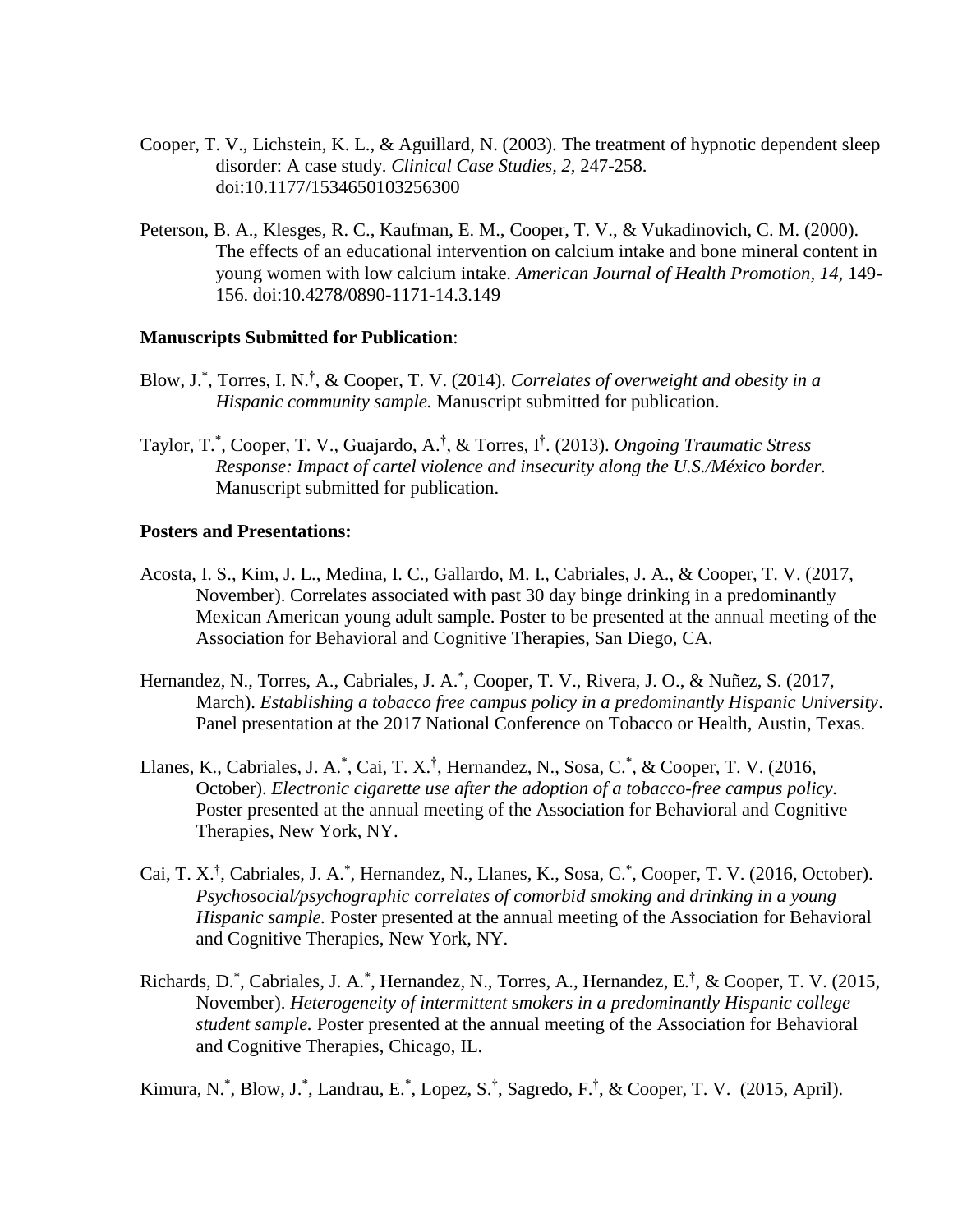- Cooper, T. V., Lichstein, K. L., & Aguillard, N. (2003). The treatment of hypnotic dependent sleep disorder: A case study. *Clinical Case Studies, 2,* 247-258. doi:10.1177/1534650103256300
- Peterson, B. A., Klesges, R. C., Kaufman, E. M., Cooper, T. V., & Vukadinovich, C. M. (2000). The effects of an educational intervention on calcium intake and bone mineral content in young women with low calcium intake. *American Journal of Health Promotion, 14,* 149- 156. doi:10.4278/0890-1171-14.3.149

#### **Manuscripts Submitted for Publication**:

- Blow, J.<sup>\*</sup>, Torres, I. N.<sup>†</sup>, & Cooper, T. V. (2014). *Correlates of overweight and obesity in a Hispanic community sample.* Manuscript submitted for publication.
- Taylor, T.\* , Cooper, T. V., Guajardo, A.† , & Torres, I† . (2013). *Ongoing Traumatic Stress Response: Impact of cartel violence and insecurity along the U.S./México border.* Manuscript submitted for publication.

#### **Posters and Presentations:**

- Acosta, I. S., Kim, J. L., Medina, I. C., Gallardo, M. I., Cabriales, J. A., & Cooper, T. V. (2017, November). Correlates associated with past 30 day binge drinking in a predominantly Mexican American young adult sample. Poster to be presented at the annual meeting of the Association for Behavioral and Cognitive Therapies, San Diego, CA.
- Hernandez, N., Torres, A., Cabriales, J. A.\* , Cooper, T. V., Rivera, J. O., & Nuñez, S. (2017, March). *Establishing a tobacco free campus policy in a predominantly Hispanic University*. Panel presentation at the 2017 National Conference on Tobacco or Health, Austin, Texas.
- Llanes, K., Cabriales, J. A.<sup>\*</sup>, Cai, T. X.<sup>†</sup>, Hernandez, N., Sosa, C.<sup>\*</sup>, & Cooper, T. V. (2016, October). *Electronic cigarette use after the adoption of a tobacco-free campus policy.* Poster presented at the annual meeting of the Association for Behavioral and Cognitive Therapies, New York, NY.
- Cai, T. X.<sup>†</sup>, Cabriales, J. A.<sup>\*</sup>, Hernandez, N., Llanes, K., Sosa, C.<sup>\*</sup>, Cooper, T. V. (2016, October). *Psychosocial/psychographic correlates of comorbid smoking and drinking in a young Hispanic sample.* Poster presented at the annual meeting of the Association for Behavioral and Cognitive Therapies, New York, NY.
- Richards, D.<sup>\*</sup>, Cabriales, J. A.<sup>\*</sup>, Hernandez, N., Torres, A., Hernandez, E.<sup>†</sup>, & Cooper, T. V. (2015, November). *Heterogeneity of intermittent smokers in a predominantly Hispanic college student sample.* Poster presented at the annual meeting of the Association for Behavioral and Cognitive Therapies, Chicago, IL.

Kimura, N.<sup>\*</sup>, Blow, J.<sup>\*</sup>, Landrau, E.<sup>\*</sup>, Lopez, S.<sup>†</sup>, Sagredo, F.<sup>†</sup>, & Cooper, T. V. (2015, April).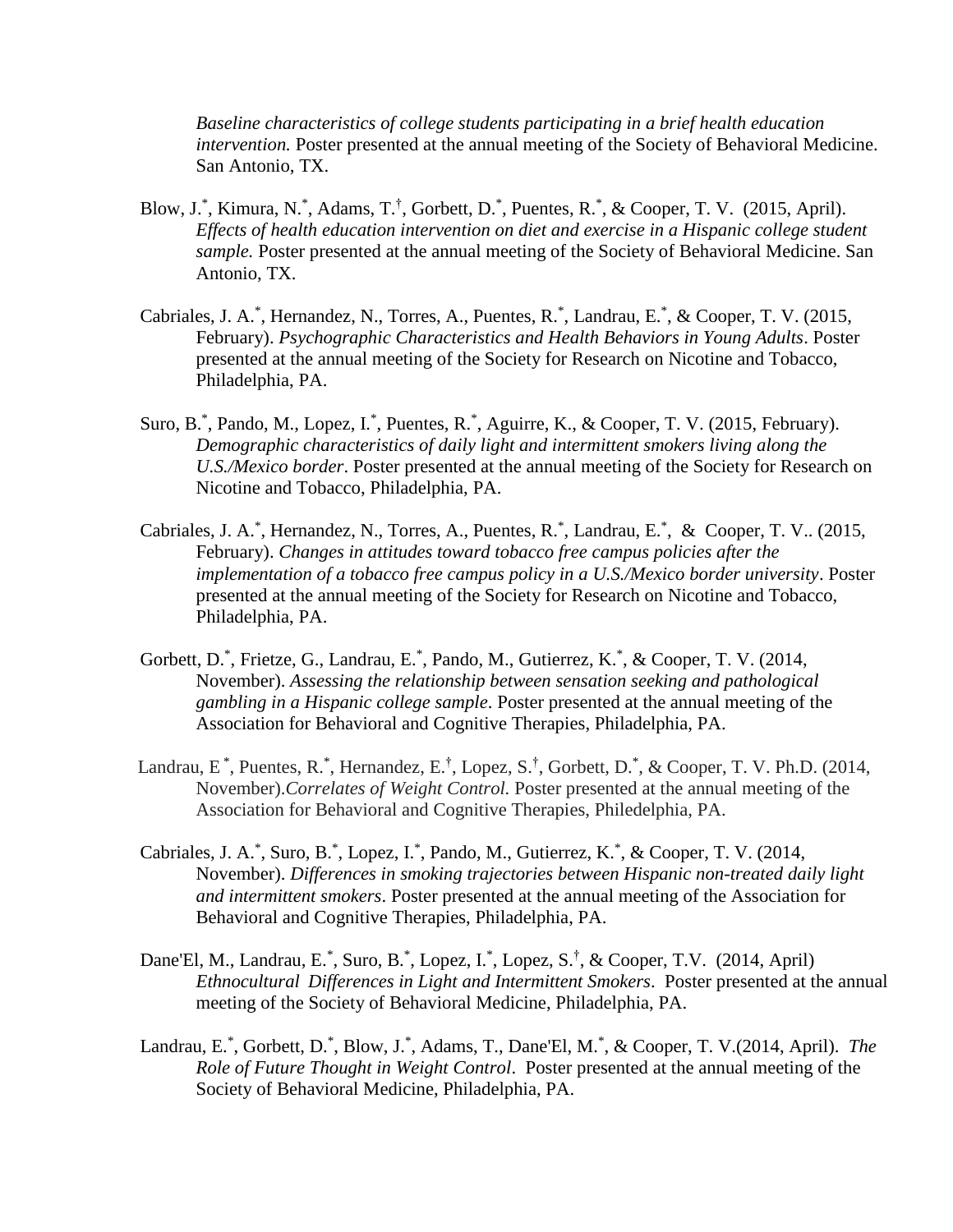*Baseline characteristics of college students participating in a brief health education intervention.* Poster presented at the annual meeting of the Society of Behavioral Medicine. San Antonio, TX.

- Blow, J.\*, Kimura, N.\*, Adams, T.<sup>†</sup>, Gorbett, D.\*, Puentes, R.\*, & Cooper, T. V. (2015, April). *Effects of health education intervention on diet and exercise in a Hispanic college student sample.* Poster presented at the annual meeting of the Society of Behavioral Medicine. San Antonio, TX.
- Cabriales, J. A.<sup>\*</sup>, Hernandez, N., Torres, A., Puentes, R.<sup>\*</sup>, Landrau, E.<sup>\*</sup>, & Cooper, T. V. (2015, February). *Psychographic Characteristics and Health Behaviors in Young Adults*. Poster presented at the annual meeting of the Society for Research on Nicotine and Tobacco, Philadelphia, PA.
- Suro, B.<sup>\*</sup>, Pando, M., Lopez, I.<sup>\*</sup>, Puentes, R.<sup>\*</sup>, Aguirre, K., & Cooper, T. V. (2015, February). *Demographic characteristics of daily light and intermittent smokers living along the U.S./Mexico border*. Poster presented at the annual meeting of the Society for Research on Nicotine and Tobacco, Philadelphia, PA.
- Cabriales, J. A.<sup>\*</sup>, Hernandez, N., Torres, A., Puentes, R.<sup>\*</sup>, Landrau, E.<sup>\*</sup>, & Cooper, T. V.. (2015, February). *Changes in attitudes toward tobacco free campus policies after the implementation of a tobacco free campus policy in a U.S./Mexico border university*. Poster presented at the annual meeting of the Society for Research on Nicotine and Tobacco, Philadelphia, PA.
- Gorbett, D.\*, Frietze, G., Landrau, E.\*, Pando, M., Gutierrez, K.\*, & Cooper, T. V. (2014, November). *Assessing the relationship between sensation seeking and pathological gambling in a Hispanic college sample*. Poster presented at the annual meeting of the Association for Behavioral and Cognitive Therapies, Philadelphia, PA.
- Landrau, E<sup>\*</sup>, Puentes, R.<sup>\*</sup>, Hernandez, E.<sup>†</sup>, Lopez, S.<sup>†</sup>, Gorbett, D.<sup>\*</sup>, & Cooper, T. V. Ph.D. (2014, November).*Correlates of Weight Control.* Poster presented at the annual meeting of the Association for Behavioral and Cognitive Therapies, Philedelphia, PA.
- Cabriales, J. A.<sup>\*</sup>, Suro, B.<sup>\*</sup>, Lopez, I.<sup>\*</sup>, Pando, M., Gutierrez, K.<sup>\*</sup>, & Cooper, T. V. (2014, November). *Differences in smoking trajectories between Hispanic non-treated daily light and intermittent smokers*. Poster presented at the annual meeting of the Association for Behavioral and Cognitive Therapies, Philadelphia, PA.
- Dane'El, M., Landrau, E.<sup>\*</sup>, Suro, B.<sup>\*</sup>, Lopez, I.<sup>\*</sup>, Lopez, S.<sup>†</sup>, & Cooper, T.V. (2014, April) *Ethnocultural Differences in Light and Intermittent Smokers*. Poster presented at the annual meeting of the Society of Behavioral Medicine, Philadelphia, PA.
- Landrau, E.\* , Gorbett, D.\* , Blow, J.\* , Adams, T., Dane'El, M.\* , & Cooper, T. V.(2014, April). *The Role of Future Thought in Weight Control*. Poster presented at the annual meeting of the Society of Behavioral Medicine, Philadelphia, PA.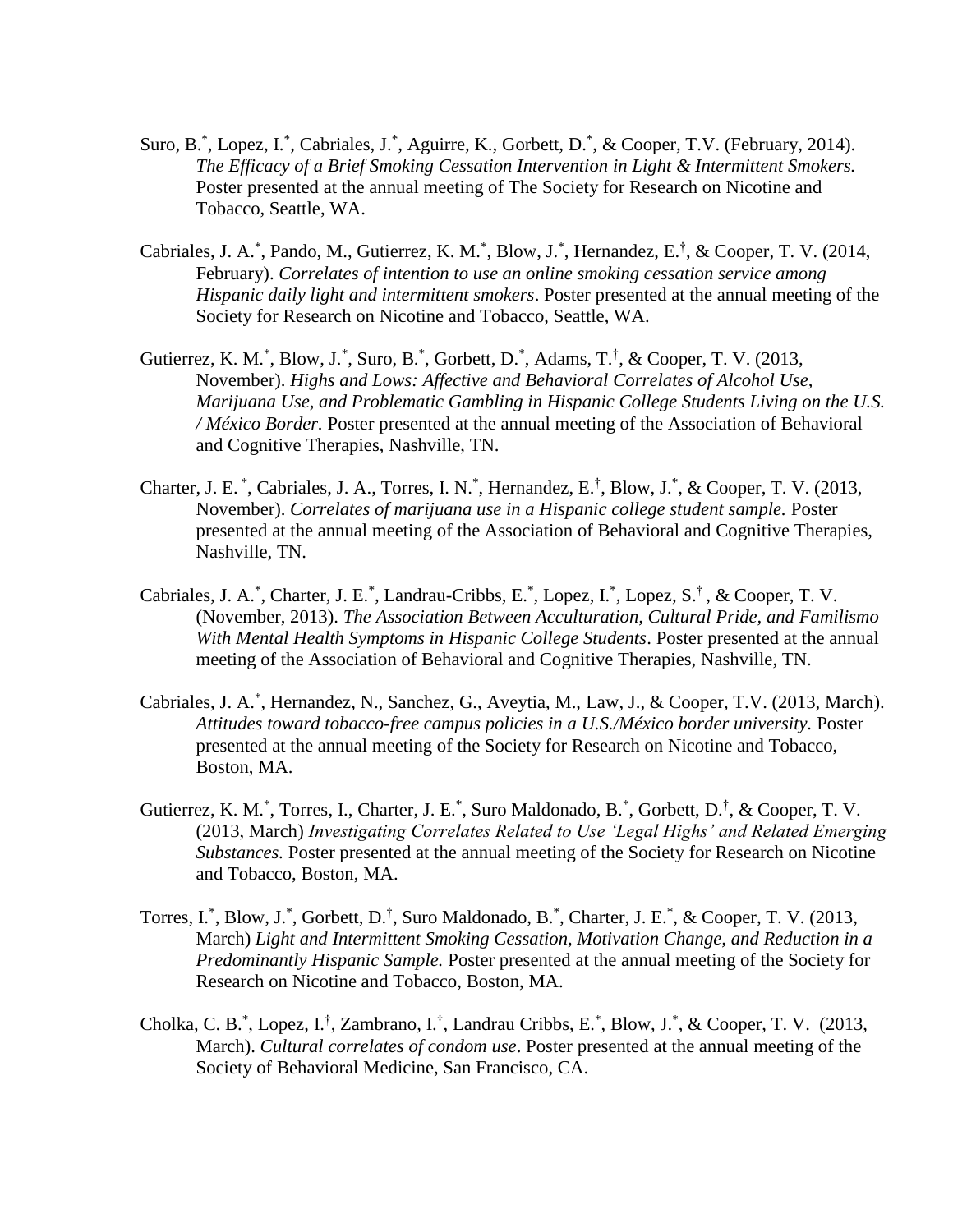- Suro, B.<sup>\*</sup>, Lopez, I.<sup>\*</sup>, Cabriales, J.<sup>\*</sup>, Aguirre, K., Gorbett, D.<sup>\*</sup>, & Cooper, T.V. (February, 2014). *The Efficacy of a Brief Smoking Cessation Intervention in Light & Intermittent Smokers.*  Poster presented at the annual meeting of The Society for Research on Nicotine and Tobacco, Seattle, WA.
- Cabriales, J. A.\*, Pando, M., Gutierrez, K. M.\*, Blow, J.\*, Hernandez, E.<sup>†</sup>, & Cooper, T. V. (2014, February). *Correlates of intention to use an online smoking cessation service among Hispanic daily light and intermittent smokers*. Poster presented at the annual meeting of the Society for Research on Nicotine and Tobacco, Seattle, WA.
- Gutierrez, K. M.<sup>\*</sup>, Blow, J.<sup>\*</sup>, Suro, B.<sup>\*</sup>, Gorbett, D.<sup>\*</sup>, Adams, T.<sup>†</sup>, & Cooper, T. V. (2013, November). *Highs and Lows: Affective and Behavioral Correlates of Alcohol Use, Marijuana Use, and Problematic Gambling in Hispanic College Students Living on the U.S. / México Border.* Poster presented at the annual meeting of the Association of Behavioral and Cognitive Therapies, Nashville, TN.
- Charter, J. E.<sup>\*</sup>, Cabriales, J. A., Torres, I. N.<sup>\*</sup>, Hernandez, E.<sup>†</sup>, Blow, J.<sup>\*</sup>, & Cooper, T. V. (2013, November). *Correlates of marijuana use in a Hispanic college student sample.* Poster presented at the annual meeting of the Association of Behavioral and Cognitive Therapies, Nashville, TN.
- Cabriales, J. A.\*, Charter, J. E.\*, Landrau-Cribbs, E.\*, Lopez, I.\*, Lopez, S.<sup>†</sup>, & Cooper, T. V. (November, 2013). *The Association Between Acculturation, Cultural Pride, and Familismo With Mental Health Symptoms in Hispanic College Students*. Poster presented at the annual meeting of the Association of Behavioral and Cognitive Therapies, Nashville, TN.
- Cabriales, J. A.\* , Hernandez, N., Sanchez, G., Aveytia, M., Law, J., & Cooper, T.V. (2013, March). *Attitudes toward tobacco-free campus policies in a U.S./México border university.* Poster presented at the annual meeting of the Society for Research on Nicotine and Tobacco, Boston, MA.
- Gutierrez, K. M.<sup>\*</sup>, Torres, I., Charter, J. E.<sup>\*</sup>, Suro Maldonado, B.<sup>\*</sup>, Gorbett, D.<sup>†</sup>, & Cooper, T. V. (2013, March) *Investigating Correlates Related to Use 'Legal Highs' and Related Emerging Substances.* Poster presented at the annual meeting of the Society for Research on Nicotine and Tobacco, Boston, MA.
- Torres, I.\*, Blow, J.\*, Gorbett, D.<sup>†</sup>, Suro Maldonado, B.<sup>\*</sup>, Charter, J. E.<sup>\*</sup>, & Cooper, T. V. (2013, March) *Light and Intermittent Smoking Cessation, Motivation Change, and Reduction in a Predominantly Hispanic Sample.* Poster presented at the annual meeting of the Society for Research on Nicotine and Tobacco, Boston, MA.
- Cholka, C. B.<sup>\*</sup>, Lopez, I.<sup>†</sup>, Zambrano, I.<sup>†</sup>, Landrau Cribbs, E.<sup>\*</sup>, Blow, J.<sup>\*</sup>, & Cooper, T. V. (2013, March). *Cultural correlates of condom use*. Poster presented at the annual meeting of the Society of Behavioral Medicine, San Francisco, CA.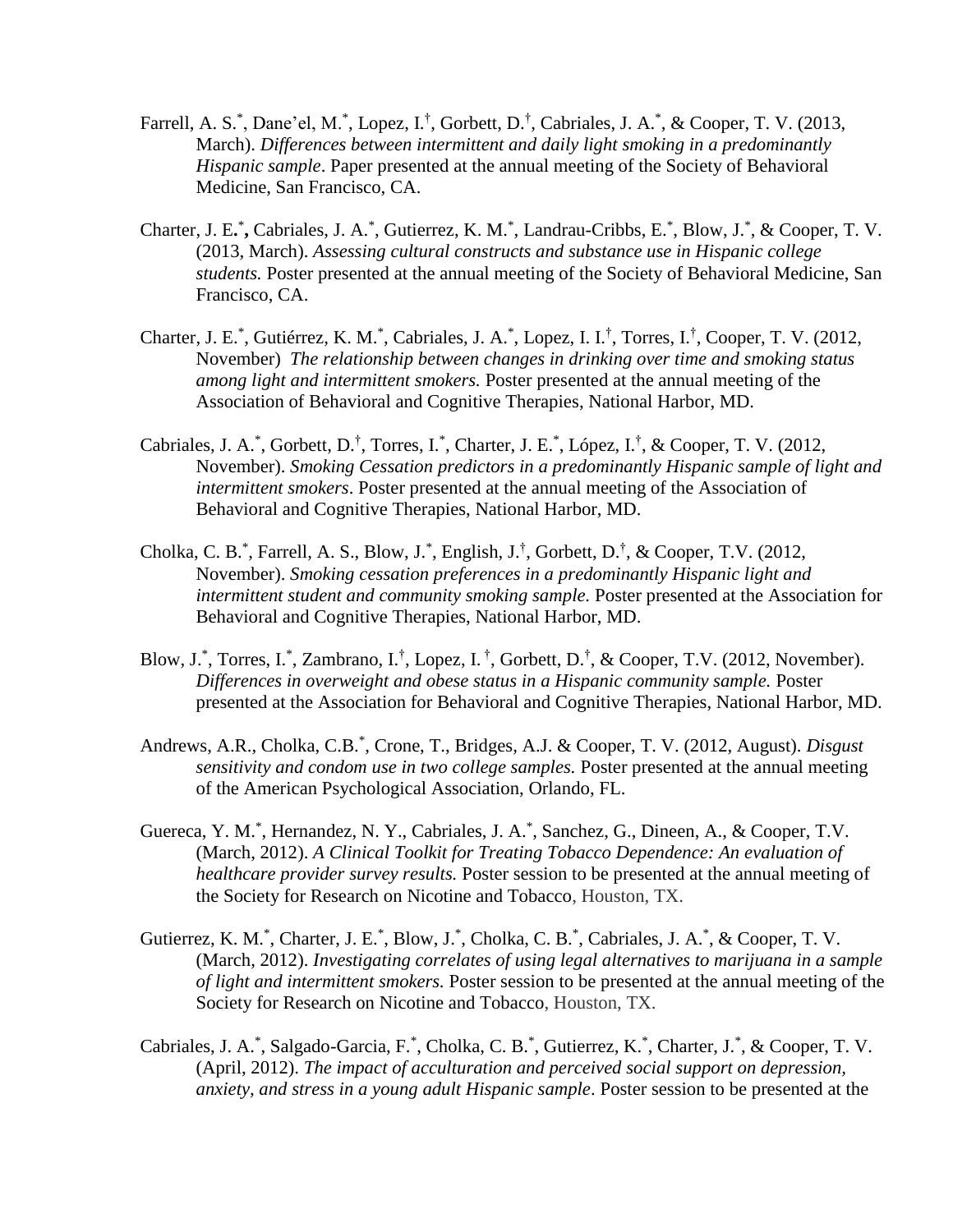- Farrell, A. S.<sup>\*</sup>, Dane'el, M.<sup>\*</sup>, Lopez, I.<sup>†</sup>, Gorbett, D.<sup>†</sup>, Cabriales, J. A.<sup>\*</sup>, & Cooper, T. V. (2013, March). *Differences between intermittent and daily light smoking in a predominantly Hispanic sample*. Paper presented at the annual meeting of the Society of Behavioral Medicine, San Francisco, CA.
- Charter, J. E.<sup>\*</sup>, Cabriales, J. A.<sup>\*</sup>, Gutierrez, K. M.<sup>\*</sup>, Landrau-Cribbs, E.<sup>\*</sup>, Blow, J.<sup>\*</sup>, & Cooper, T. V. (2013, March). *Assessing cultural constructs and substance use in Hispanic college students.* Poster presented at the annual meeting of the Society of Behavioral Medicine, San Francisco, CA.
- Charter, J. E.<sup>\*</sup>, Gutiérrez, K. M.<sup>\*</sup>, Cabriales, J. A.<sup>\*</sup>, Lopez, I. I.<sup>†</sup>, Torres, I.<sup>†</sup>, Cooper, T. V. (2012, November) *The relationship between changes in drinking over time and smoking status among light and intermittent smokers.* Poster presented at the annual meeting of the Association of Behavioral and Cognitive Therapies, National Harbor, MD.
- Cabriales, J. A.<sup>\*</sup>, Gorbett, D.<sup>†</sup>, Torres, I.<sup>\*</sup>, Charter, J. E.<sup>\*</sup>, López, I.<sup>†</sup>, & Cooper, T. V. (2012, November). *Smoking Cessation predictors in a predominantly Hispanic sample of light and intermittent smokers*. Poster presented at the annual meeting of the Association of Behavioral and Cognitive Therapies, National Harbor, MD.
- Cholka, C. B.\*, Farrell, A. S., Blow, J.\*, English, J.<sup>†</sup>, Gorbett, D.<sup>†</sup>, & Cooper, T.V. (2012, November). *Smoking cessation preferences in a predominantly Hispanic light and intermittent student and community smoking sample.* Poster presented at the Association for Behavioral and Cognitive Therapies, National Harbor, MD.
- Blow, J.\*, Torres, I.\*, Zambrano, I.<sup>†</sup>, Lopez, I.<sup>†</sup>, Gorbett, D.<sup>†</sup>, & Cooper, T.V. (2012, November). *Differences in overweight and obese status in a Hispanic community sample.* Poster presented at the Association for Behavioral and Cognitive Therapies, National Harbor, MD.
- Andrews, A.R., Cholka, C.B.\* , Crone, T., Bridges, A.J. & Cooper, T. V. (2012, August). *Disgust sensitivity and condom use in two college samples.* Poster presented at the annual meeting of the American Psychological Association, Orlando, FL.
- Guereca, Y. M.<sup>\*</sup>, Hernandez, N. Y., Cabriales, J. A.<sup>\*</sup>, Sanchez, G., Dineen, A., & Cooper, T.V. (March, 2012). *A Clinical Toolkit for Treating Tobacco Dependence: An evaluation of healthcare provider survey results.* Poster session to be presented at the annual meeting of the Society for Research on Nicotine and Tobacco, Houston, TX.
- Gutierrez, K. M.<sup>\*</sup>, Charter, J. E.<sup>\*</sup>, Blow, J.<sup>\*</sup>, Cholka, C. B.<sup>\*</sup>, Cabriales, J. A.<sup>\*</sup>, & Cooper, T. V. (March, 2012). *Investigating correlates of using legal alternatives to marijuana in a sample of light and intermittent smokers.* Poster session to be presented at the annual meeting of the Society for Research on Nicotine and Tobacco, Houston, TX.
- Cabriales, J. A.\*, Salgado-Garcia, F.\*, Cholka, C. B.\*, Gutierrez, K.\*, Charter, J.\*, & Cooper, T. V. (April, 2012). *The impact of acculturation and perceived social support on depression, anxiety, and stress in a young adult Hispanic sample*. Poster session to be presented at the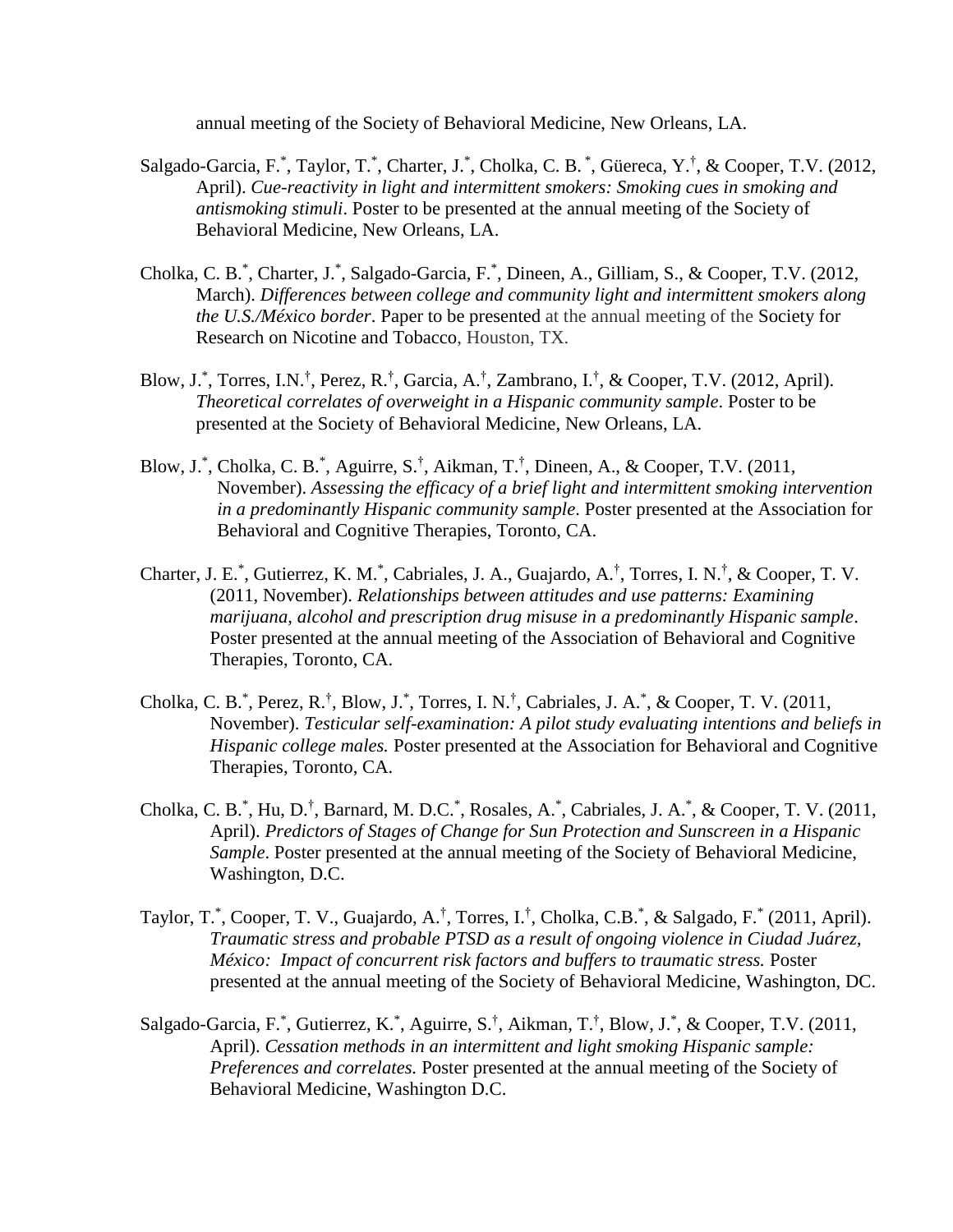annual meeting of the Society of Behavioral Medicine, New Orleans, LA.

- Salgado-Garcia, F.\*, Taylor, T.\*, Charter, J.\*, Cholka, C. B.\*, Güereca, Y.<sup>†</sup>, & Cooper, T.V. (2012, April). *Cue-reactivity in light and intermittent smokers: Smoking cues in smoking and antismoking stimuli*. Poster to be presented at the annual meeting of the Society of Behavioral Medicine, New Orleans, LA.
- Cholka, C. B.\*, Charter, J.\*, Salgado-Garcia, F.\*, Dineen, A., Gilliam, S., & Cooper, T.V. (2012, March). *Differences between college and community light and intermittent smokers along the U.S./México border*. Paper to be presented at the annual meeting of the Society for Research on Nicotine and Tobacco, Houston, TX.
- Blow, J.\*, Torres, I.N.<sup>†</sup>, Perez, R.<sup>†</sup>, Garcia, A.<sup>†</sup>, Zambrano, I.<sup>†</sup>, & Cooper, T.V. (2012, April). *Theoretical correlates of overweight in a Hispanic community sample*. Poster to be presented at the Society of Behavioral Medicine, New Orleans, LA.
- Blow, J.\*, Cholka, C. B.\*, Aguirre, S.<sup>†</sup>, Aikman, T.<sup>†</sup>, Dineen, A., & Cooper, T.V. (2011, November). *Assessing the efficacy of a brief light and intermittent smoking intervention in a predominantly Hispanic community sample*. Poster presented at the Association for Behavioral and Cognitive Therapies, Toronto, CA.
- Charter, J. E.<sup>\*</sup>, Gutierrez, K. M.<sup>\*</sup>, Cabriales, J. A., Guajardo, A.<sup>†</sup>, Torres, I. N.<sup>†</sup>, & Cooper, T. V. (2011, November). *Relationships between attitudes and use patterns: Examining marijuana, alcohol and prescription drug misuse in a predominantly Hispanic sample*. Poster presented at the annual meeting of the Association of Behavioral and Cognitive Therapies, Toronto, CA.
- Cholka, C. B.\*, Perez, R.<sup>†</sup>, Blow, J.\*, Torres, I. N.<sup>†</sup>, Cabriales, J. A.\*, & Cooper, T. V. (2011, November). *Testicular self-examination: A pilot study evaluating intentions and beliefs in Hispanic college males.* Poster presented at the Association for Behavioral and Cognitive Therapies, Toronto, CA.
- Cholka, C. B.<sup>\*</sup>, Hu, D.<sup>†</sup>, Barnard, M. D.C.<sup>\*</sup>, Rosales, A.<sup>\*</sup>, Cabriales, J. A.<sup>\*</sup>, & Cooper, T. V. (2011, April). *Predictors of Stages of Change for Sun Protection and Sunscreen in a Hispanic Sample*. Poster presented at the annual meeting of the Society of Behavioral Medicine, Washington, D.C.
- Taylor, T.\*, Cooper, T. V., Guajardo, A.<sup>†</sup>, Torres, I.<sup>†</sup>, Cholka, C.B.\*, & Salgado, F.\* (2011, April). *Traumatic stress and probable PTSD as a result of ongoing violence in Ciudad Juárez, México: Impact of concurrent risk factors and buffers to traumatic stress.* Poster presented at the annual meeting of the Society of Behavioral Medicine, Washington, DC.
- Salgado-Garcia, F.\*, Gutierrez, K.\*, Aguirre, S.<sup>†</sup>, Aikman, T.<sup>†</sup>, Blow, J.\*, & Cooper, T.V. (2011, April). *Cessation methods in an intermittent and light smoking Hispanic sample: Preferences and correlates.* Poster presented at the annual meeting of the Society of Behavioral Medicine, Washington D.C.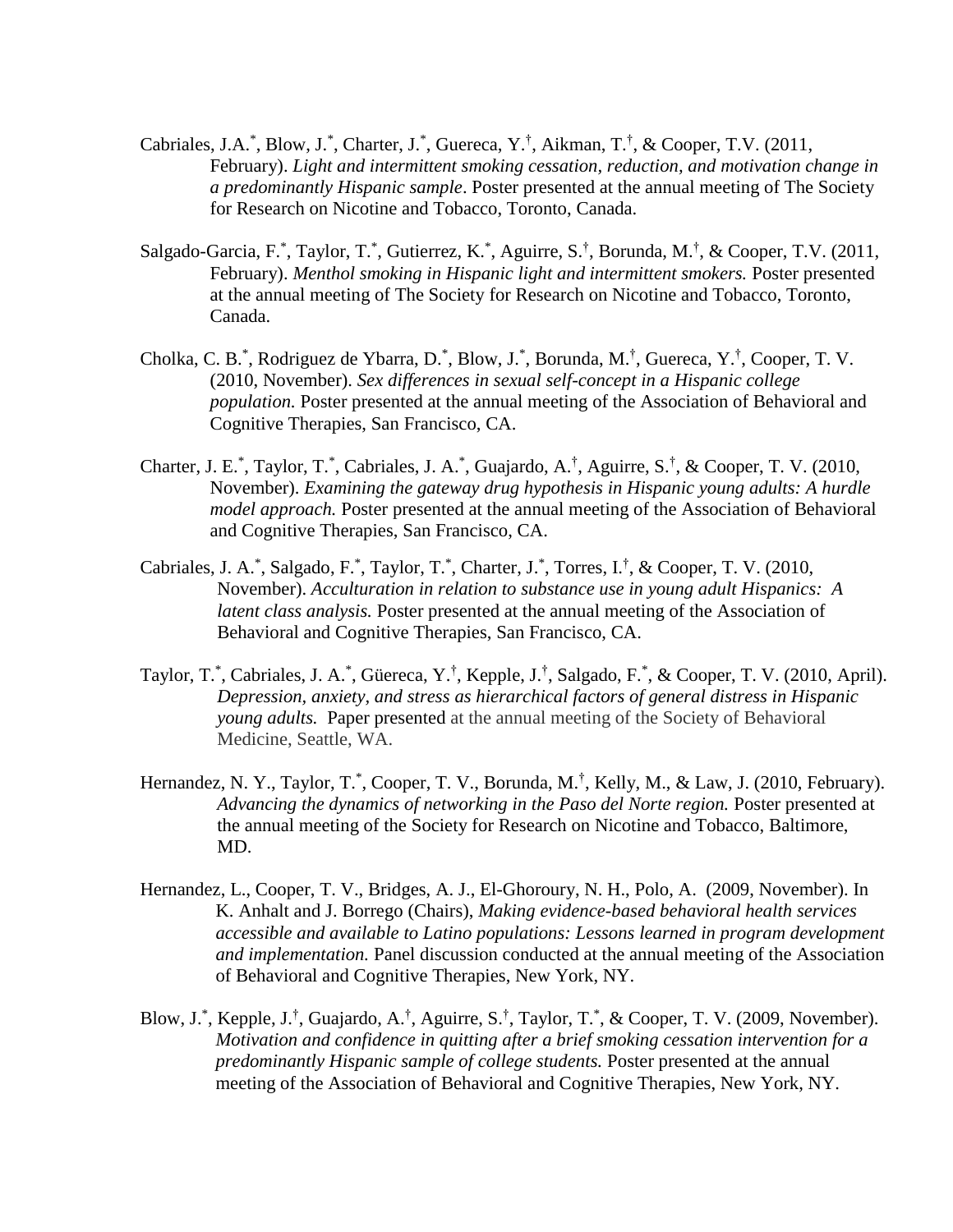- Cabriales, J.A.\*, Blow, J.\*, Charter, J.\*, Guereca, Y.<sup>†</sup>, Aikman, T.<sup>†</sup>, & Cooper, T.V. (2011, February). *Light and intermittent smoking cessation, reduction, and motivation change in a predominantly Hispanic sample*. Poster presented at the annual meeting of The Society for Research on Nicotine and Tobacco, Toronto, Canada.
- Salgado-Garcia, F.\*, Taylor, T.\*, Gutierrez, K.\*, Aguirre, S.<sup>†</sup>, Borunda, M.<sup>†</sup>, & Cooper, T.V. (2011, February). *Menthol smoking in Hispanic light and intermittent smokers.* Poster presented at the annual meeting of The Society for Research on Nicotine and Tobacco, Toronto, Canada.
- Cholka, C. B.\*, Rodriguez de Ybarra, D.\*, Blow, J.\*, Borunda, M.<sup>†</sup>, Guereca, Y.<sup>†</sup>, Cooper, T. V. (2010, November). *Sex differences in sexual self-concept in a Hispanic college population.* Poster presented at the annual meeting of the Association of Behavioral and Cognitive Therapies, San Francisco, CA.
- Charter, J. E.<sup>\*</sup>, Taylor, T.<sup>\*</sup>, Cabriales, J. A.<sup>\*</sup>, Guajardo, A.<sup>†</sup>, Aguirre, S.<sup>†</sup>, & Cooper, T. V. (2010, November). *Examining the gateway drug hypothesis in Hispanic young adults: A hurdle model approach.* Poster presented at the annual meeting of the Association of Behavioral and Cognitive Therapies, San Francisco, CA.
- Cabriales, J. A.\*, Salgado, F.\*, Taylor, T.\*, Charter, J.\*, Torres, I.<sup>†</sup>, & Cooper, T. V. (2010, November). *Acculturation in relation to substance use in young adult Hispanics: A latent class analysis.* Poster presented at the annual meeting of the Association of Behavioral and Cognitive Therapies, San Francisco, CA.
- Taylor, T.\*, Cabriales, J. A.\*, Güereca, Y.<sup>†</sup>, Kepple, J.<sup>†</sup>, Salgado, F.\*, & Cooper, T. V. (2010, April). *Depression, anxiety, and stress as hierarchical factors of general distress in Hispanic young adults.* Paper presented at the annual meeting of the Society of Behavioral Medicine, Seattle, WA.
- Hernandez, N.Y., Taylor, T.<sup>\*</sup>, Cooper, T.V., Borunda, M.<sup>†</sup>, Kelly, M., & Law, J. (2010, February). *Advancing the dynamics of networking in the Paso del Norte region.* Poster presented at the annual meeting of the Society for Research on Nicotine and Tobacco, Baltimore, MD.
- Hernandez, L., Cooper, T. V., Bridges, A. J., El-Ghoroury, N. H., Polo, A. (2009, November). In K. Anhalt and J. Borrego (Chairs), *Making evidence-based behavioral health services accessible and available to Latino populations: Lessons learned in program development and implementation.* Panel discussion conducted at the annual meeting of the Association of Behavioral and Cognitive Therapies, New York, NY.
- Blow, J.\*, Kepple, J.<sup>†</sup>, Guajardo, A.<sup>†</sup>, Aguirre, S.<sup>†</sup>, Taylor, T.<sup>\*</sup>, & Cooper, T. V. (2009, November). *Motivation and confidence in quitting after a brief smoking cessation intervention for a predominantly Hispanic sample of college students.* Poster presented at the annual meeting of the Association of Behavioral and Cognitive Therapies, New York, NY.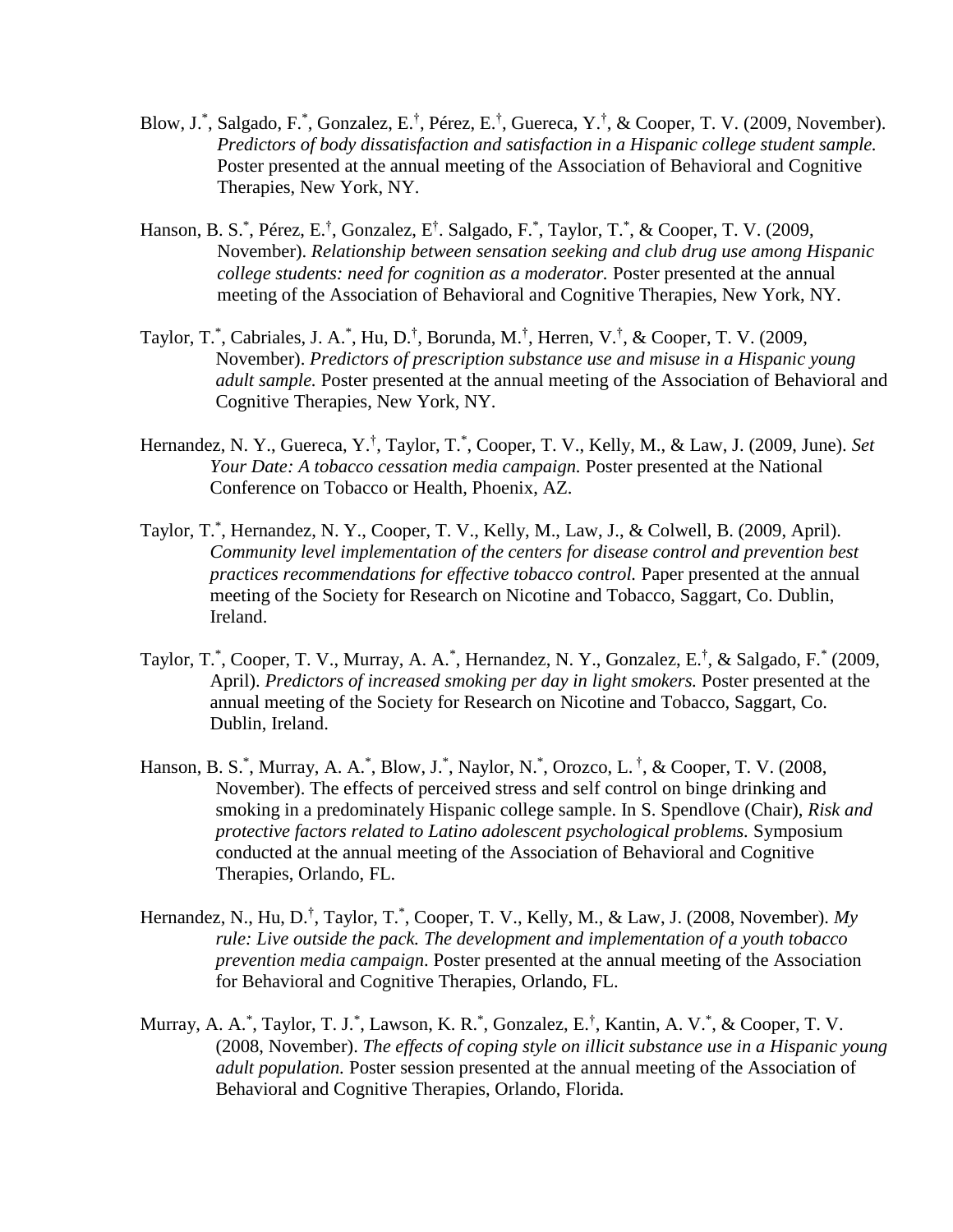- Blow, J.\*, Salgado, F.\*, Gonzalez, E.<sup>†</sup>, Pérez, E.<sup>†</sup>, Guereca, Y.<sup>†</sup>, & Cooper, T. V. (2009, November). *Predictors of body dissatisfaction and satisfaction in a Hispanic college student sample.* Poster presented at the annual meeting of the Association of Behavioral and Cognitive Therapies, New York, NY.
- Hanson, B. S.<sup>\*</sup>, Pérez, E.<sup>†</sup>, Gonzalez, E<sup>†</sup>. Salgado, F.<sup>\*</sup>, Taylor, T.<sup>\*</sup>, & Cooper, T. V. (2009, November). *Relationship between sensation seeking and club drug use among Hispanic college students: need for cognition as a moderator.* Poster presented at the annual meeting of the Association of Behavioral and Cognitive Therapies, New York, NY.
- Taylor, T.\*, Cabriales, J. A.\*, Hu, D.<sup>†</sup>, Borunda, M.<sup>†</sup>, Herren, V.<sup>†</sup>, & Cooper, T. V. (2009, November). *Predictors of prescription substance use and misuse in a Hispanic young adult sample.* Poster presented at the annual meeting of the Association of Behavioral and Cognitive Therapies, New York, NY.
- Hernandez, N. Y., Guereca, Y.† , Taylor, T.\* , Cooper, T. V., Kelly, M., & Law, J. (2009, June). *Set Your Date: A tobacco cessation media campaign.* Poster presented at the National Conference on Tobacco or Health, Phoenix, AZ.
- Taylor, T.\* , Hernandez, N. Y., Cooper, T. V., Kelly, M., Law, J., & Colwell, B. (2009, April). *Community level implementation of the centers for disease control and prevention best practices recommendations for effective tobacco control. Paper presented at the annual* meeting of the Society for Research on Nicotine and Tobacco, Saggart, Co. Dublin, Ireland.
- Taylor, T.\*, Cooper, T. V., Murray, A. A.\*, Hernandez, N. Y., Gonzalez, E.<sup>†</sup>, & Salgado, F.\* (2009, April). *Predictors of increased smoking per day in light smokers.* Poster presented at the annual meeting of the Society for Research on Nicotine and Tobacco, Saggart, Co. Dublin, Ireland.
- Hanson, B. S.<sup>\*</sup>, Murray, A. A.<sup>\*</sup>, Blow, J.<sup>\*</sup>, Naylor, N.<sup>\*</sup>, Orozco, L.<sup>†</sup>, & Cooper, T. V. (2008, November). The effects of perceived stress and self control on binge drinking and smoking in a predominately Hispanic college sample. In S. Spendlove (Chair), *Risk and protective factors related to Latino adolescent psychological problems.* Symposium conducted at the annual meeting of the Association of Behavioral and Cognitive Therapies, Orlando, FL.
- Hernandez, N., Hu, D.<sup>†</sup>, Taylor, T.<sup>\*</sup>, Cooper, T. V., Kelly, M., & Law, J. (2008, November). My *rule: Live outside the pack. The development and implementation of a youth tobacco prevention media campaign*. Poster presented at the annual meeting of the Association for Behavioral and Cognitive Therapies, Orlando, FL.
- Murray, A. A.<sup>\*</sup>, Taylor, T. J.<sup>\*</sup>, Lawson, K. R.<sup>\*</sup>, Gonzalez, E.<sup>†</sup>, Kantin, A. V.<sup>\*</sup>, & Cooper, T. V. (2008, November). *The effects of coping style on illicit substance use in a Hispanic young adult population.* Poster session presented at the annual meeting of the Association of Behavioral and Cognitive Therapies, Orlando, Florida.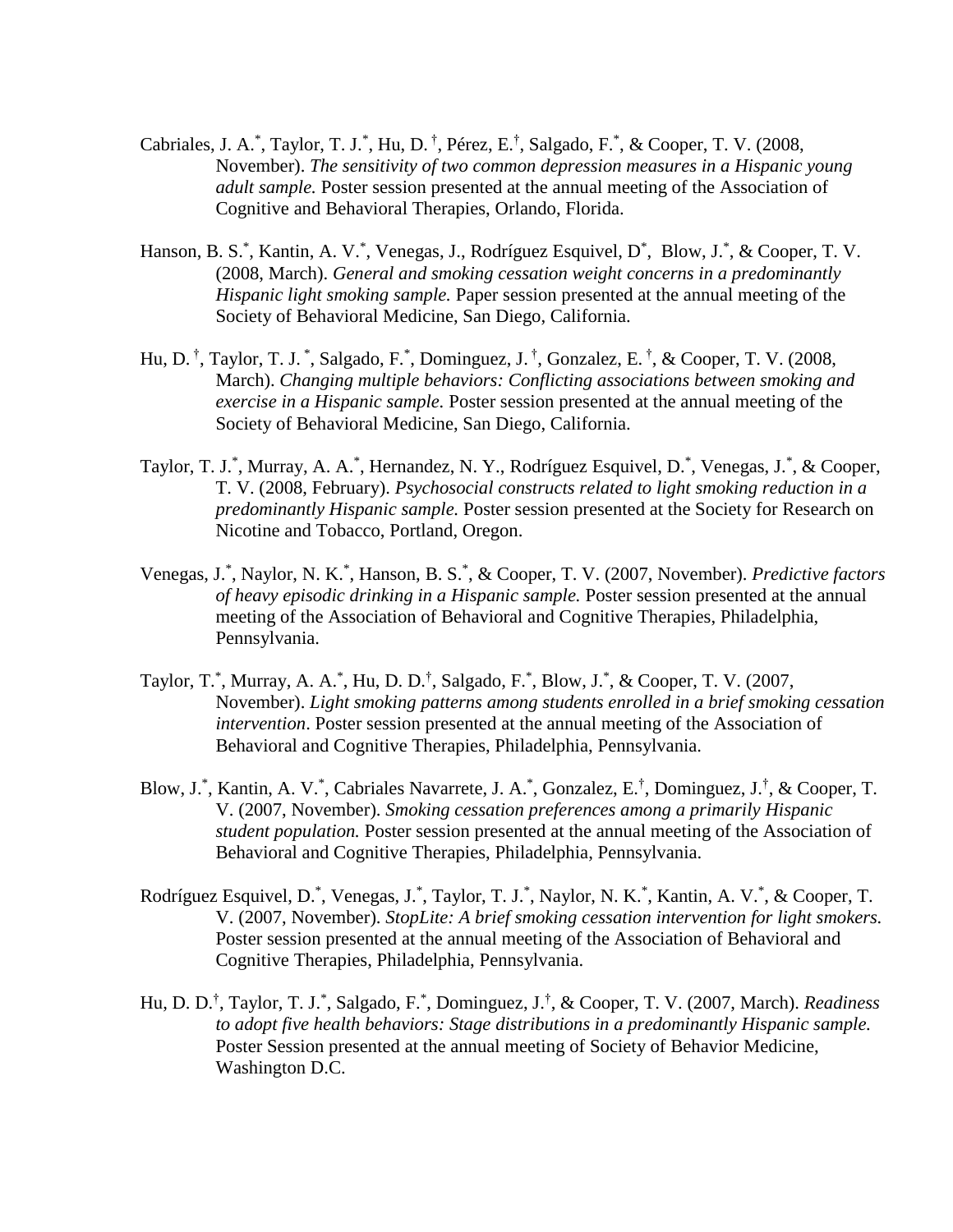- Cabriales, J. A.<sup>\*</sup>, Taylor, T. J.<sup>\*</sup>, Hu, D.<sup>†</sup>, Pérez, E.<sup>†</sup>, Salgado, F.<sup>\*</sup>, & Cooper, T. V. (2008, November). *The sensitivity of two common depression measures in a Hispanic young adult sample.* Poster session presented at the annual meeting of the Association of Cognitive and Behavioral Therapies, Orlando, Florida.
- Hanson, B. S.\*, Kantin, A. V.\*, Venegas, J., Rodríguez Esquivel, D\*, Blow, J.\*, & Cooper, T. V. (2008, March). *General and smoking cessation weight concerns in a predominantly Hispanic light smoking sample.* Paper session presented at the annual meeting of the Society of Behavioral Medicine, San Diego, California.
- Hu, D. † , Taylor, T. J. \* , Salgado, F.\* , Dominguez, J. † , Gonzalez, E. † , & Cooper, T. V. (2008, March). *Changing multiple behaviors: Conflicting associations between smoking and exercise in a Hispanic sample.* Poster session presented at the annual meeting of the Society of Behavioral Medicine, San Diego, California.
- Taylor, T. J.\*, Murray, A. A.\*, Hernandez, N. Y., Rodríguez Esquivel, D.\*, Venegas, J.\*, & Cooper, T. V. (2008, February). *Psychosocial constructs related to light smoking reduction in a predominantly Hispanic sample.* Poster session presented at the Society for Research on Nicotine and Tobacco, Portland, Oregon.
- Venegas, J.\* , Naylor, N. K.\* , Hanson, B. S.\* , & Cooper, T. V. (2007, November). *Predictive factors of heavy episodic drinking in a Hispanic sample.* Poster session presented at the annual meeting of the Association of Behavioral and Cognitive Therapies, Philadelphia, Pennsylvania.
- Taylor, T.\*, Murray, A. A.\*, Hu, D. D.<sup>†</sup>, Salgado, F.\*, Blow, J.\*, & Cooper, T. V. (2007, November). *Light smoking patterns among students enrolled in a brief smoking cessation intervention*. Poster session presented at the annual meeting of the Association of Behavioral and Cognitive Therapies, Philadelphia, Pennsylvania.
- Blow, J.\*, Kantin, A. V.\*, Cabriales Navarrete, J. A.\*, Gonzalez, E.<sup>†</sup>, Dominguez, J.<sup>†</sup>, & Cooper, T. V. (2007, November). *Smoking cessation preferences among a primarily Hispanic student population.* Poster session presented at the annual meeting of the Association of Behavioral and Cognitive Therapies, Philadelphia, Pennsylvania.
- Rodríguez Esquivel, D.<sup>\*</sup>, Venegas, J.<sup>\*</sup>, Taylor, T. J.<sup>\*</sup>, Naylor, N. K.<sup>\*</sup>, Kantin, A. V.<sup>\*</sup>, & Cooper, T. V. (2007, November). *StopLite: A brief smoking cessation intervention for light smokers.*  Poster session presented at the annual meeting of the Association of Behavioral and Cognitive Therapies, Philadelphia, Pennsylvania.
- Hu, D. D.† , Taylor, T. J.\* , Salgado, F.\* , Dominguez, J.† , & Cooper, T. V. (2007, March). *Readiness to adopt five health behaviors: Stage distributions in a predominantly Hispanic sample.* Poster Session presented at the annual meeting of Society of Behavior Medicine, Washington D.C.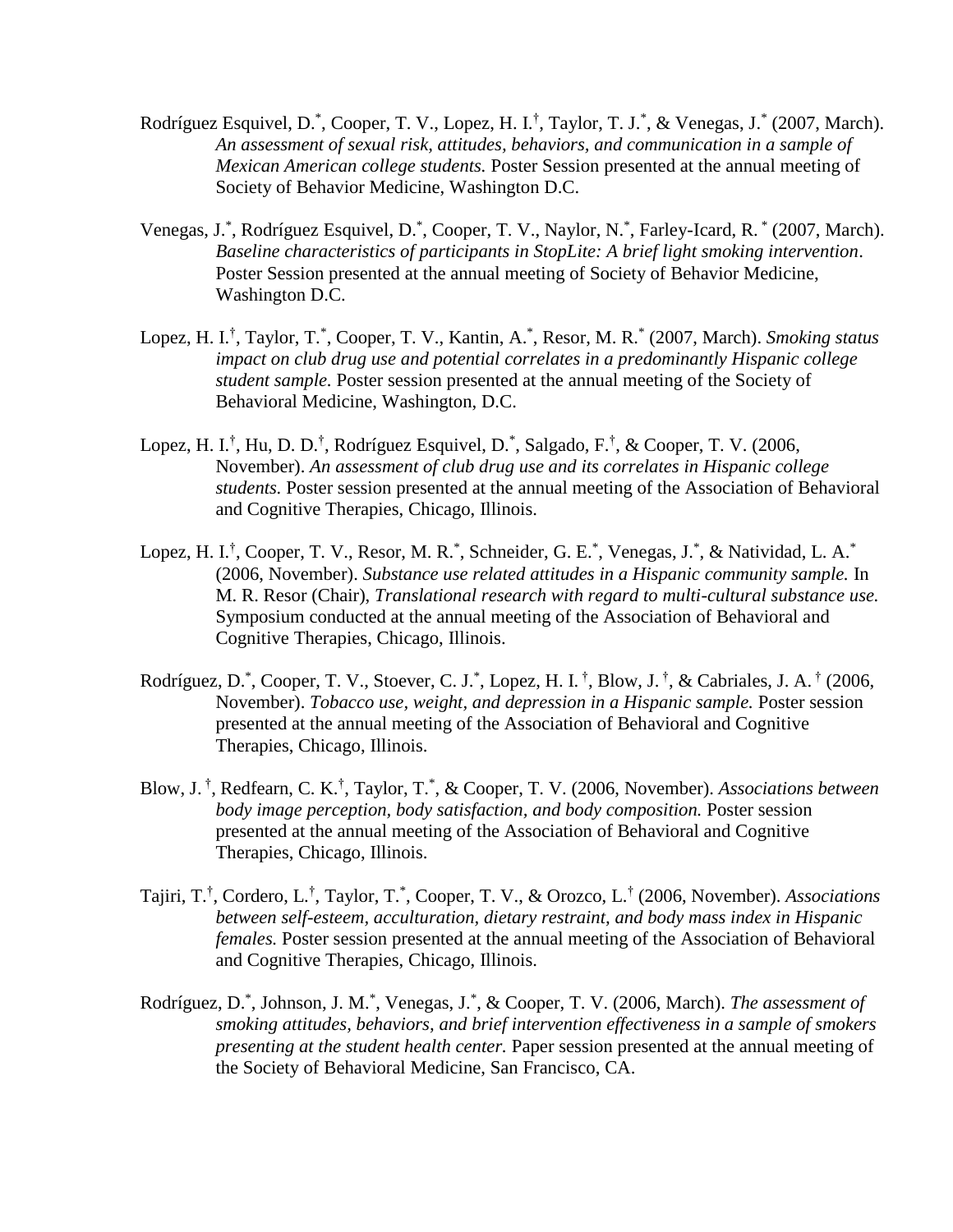- Rodríguez Esquivel, D.<sup>\*</sup>, Cooper, T. V., Lopez, H. I.<sup>†</sup>, Taylor, T. J.<sup>\*</sup>, & Venegas, J.<sup>\*</sup> (2007, March). *An assessment of sexual risk, attitudes, behaviors, and communication in a sample of Mexican American college students.* Poster Session presented at the annual meeting of Society of Behavior Medicine, Washington D.C.
- Venegas, J.\*, Rodríguez Esquivel, D.\*, Cooper, T. V., Naylor, N.\*, Farley-Icard, R.\* (2007, March). *Baseline characteristics of participants in StopLite: A brief light smoking intervention*. Poster Session presented at the annual meeting of Society of Behavior Medicine, Washington D.C.
- Lopez, H. I.<sup>†</sup>, Taylor, T.<sup>\*</sup>, Cooper, T. V., Kantin, A.<sup>\*</sup>, Resor, M. R.<sup>\*</sup> (2007, March). *Smoking status impact on club drug use and potential correlates in a predominantly Hispanic college student sample.* Poster session presented at the annual meeting of the Society of Behavioral Medicine, Washington, D.C.
- Lopez, H. I.<sup>†</sup>, Hu, D. D.<sup>†</sup>, Rodríguez Esquivel, D.<sup>\*</sup>, Salgado, F.<sup>†</sup>, & Cooper, T. V. (2006, November). *An assessment of club drug use and its correlates in Hispanic college students.* Poster session presented at the annual meeting of the Association of Behavioral and Cognitive Therapies, Chicago, Illinois.
- Lopez, H. I.<sup>†</sup>, Cooper, T. V., Resor, M. R.<sup>\*</sup>, Schneider, G. E.<sup>\*</sup>, Venegas, J.<sup>\*</sup>, & Natividad, L. A.<sup>\*</sup> (2006, November). *Substance use related attitudes in a Hispanic community sample.* In M. R. Resor (Chair), *Translational research with regard to multi-cultural substance use.* Symposium conducted at the annual meeting of the Association of Behavioral and Cognitive Therapies, Chicago, Illinois.
- Rodríguez, D.<sup>\*</sup>, Cooper, T. V., Stoever, C. J.<sup>\*</sup>, Lopez, H. I.<sup>†</sup>, Blow, J.<sup>†</sup>, & Cabriales, J. A.<sup>†</sup> (2006, November). *Tobacco use, weight, and depression in a Hispanic sample.* Poster session presented at the annual meeting of the Association of Behavioral and Cognitive Therapies, Chicago, Illinois.
- Blow, J. † , Redfearn, C. K.† , Taylor, T.\* , & Cooper, T. V. (2006, November). *Associations between body image perception, body satisfaction, and body composition.* Poster session presented at the annual meeting of the Association of Behavioral and Cognitive Therapies, Chicago, Illinois.
- Tajiri, T.<sup>†</sup>, Cordero, L.<sup>†</sup>, Taylor, T.<sup>\*</sup>, Cooper, T. V., & Orozco, L.<sup>†</sup> (2006, November). *Associations between self-esteem, acculturation, dietary restraint, and body mass index in Hispanic females.* Poster session presented at the annual meeting of the Association of Behavioral and Cognitive Therapies, Chicago, Illinois.
- Rodríguez, D.<sup>\*</sup>, Johnson, J. M.<sup>\*</sup>, Venegas, J.<sup>\*</sup>, & Cooper, T. V. (2006, March). *The assessment of smoking attitudes, behaviors, and brief intervention effectiveness in a sample of smokers presenting at the student health center.* Paper session presented at the annual meeting of the Society of Behavioral Medicine, San Francisco, CA.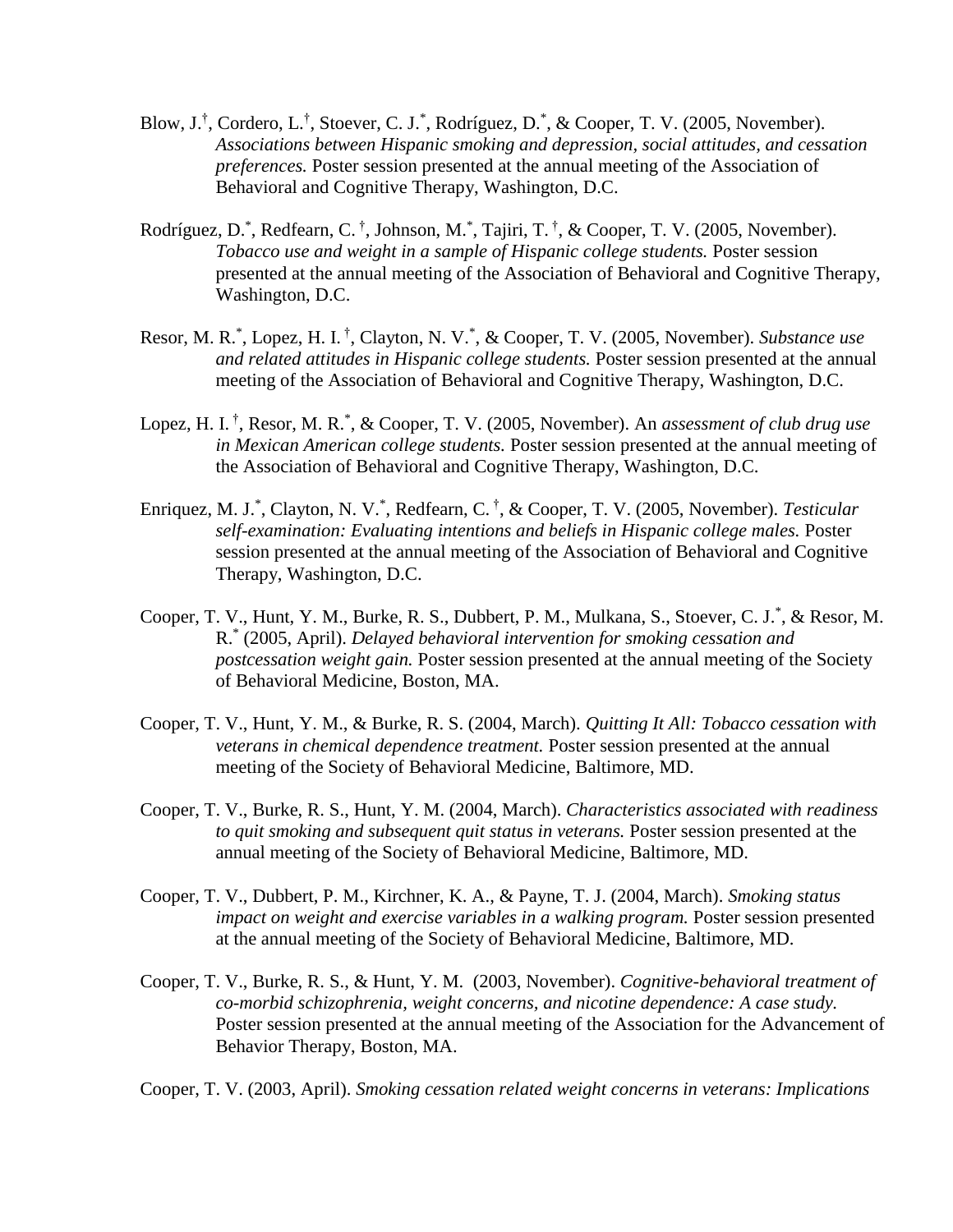- Blow, J.<sup>†</sup>, Cordero, L.<sup>†</sup>, Stoever, C. J.<sup>\*</sup>, Rodríguez, D.<sup>\*</sup>, & Cooper, T. V. (2005, November). *Associations between Hispanic smoking and depression, social attitudes, and cessation preferences.* Poster session presented at the annual meeting of the Association of Behavioral and Cognitive Therapy, Washington, D.C.
- Rodríguez, D.<sup>\*</sup>, Redfearn, C.<sup>†</sup>, Johnson, M.<sup>\*</sup>, Tajiri, T.<sup>†</sup>, & Cooper, T. V. (2005, November). *Tobacco use and weight in a sample of Hispanic college students.* Poster session presented at the annual meeting of the Association of Behavioral and Cognitive Therapy, Washington, D.C.
- Resor, M. R.<sup>\*</sup>, Lopez, H. I.<sup>†</sup>, Clayton, N. V.<sup>\*</sup>, & Cooper, T. V. (2005, November). *Substance use and related attitudes in Hispanic college students.* Poster session presented at the annual meeting of the Association of Behavioral and Cognitive Therapy, Washington, D.C.
- Lopez, H. I. † , Resor, M. R.\* , & Cooper, T. V. (2005, November). An *assessment of club drug use in Mexican American college students.* Poster session presented at the annual meeting of the Association of Behavioral and Cognitive Therapy, Washington, D.C.
- Enriquez, M. J.\* , Clayton, N. V.\* , Redfearn, C. † , & Cooper, T. V. (2005, November). *Testicular self-examination: Evaluating intentions and beliefs in Hispanic college males.* Poster session presented at the annual meeting of the Association of Behavioral and Cognitive Therapy, Washington, D.C.
- Cooper, T. V., Hunt, Y. M., Burke, R. S., Dubbert, P. M., Mulkana, S., Stoever, C. J.\* , & Resor, M. R.\* (2005, April). *Delayed behavioral intervention for smoking cessation and postcessation weight gain.* Poster session presented at the annual meeting of the Society of Behavioral Medicine, Boston, MA.
- Cooper, T. V., Hunt, Y. M., & Burke, R. S. (2004, March). *Quitting It All: Tobacco cessation with veterans in chemical dependence treatment.* Poster session presented at the annual meeting of the Society of Behavioral Medicine, Baltimore, MD.
- Cooper, T. V., Burke, R. S., Hunt, Y. M. (2004, March). *Characteristics associated with readiness to quit smoking and subsequent quit status in veterans.* Poster session presented at the annual meeting of the Society of Behavioral Medicine, Baltimore, MD.
- Cooper, T. V., Dubbert, P. M., Kirchner, K. A., & Payne, T. J. (2004, March). *Smoking status impact on weight and exercise variables in a walking program.* Poster session presented at the annual meeting of the Society of Behavioral Medicine, Baltimore, MD.
- Cooper, T. V., Burke, R. S., & Hunt, Y. M. (2003, November). *Cognitive-behavioral treatment of co-morbid schizophrenia, weight concerns, and nicotine dependence: A case study.*  Poster session presented at the annual meeting of the Association for the Advancement of Behavior Therapy, Boston, MA.

Cooper, T. V. (2003, April). *Smoking cessation related weight concerns in veterans: Implications*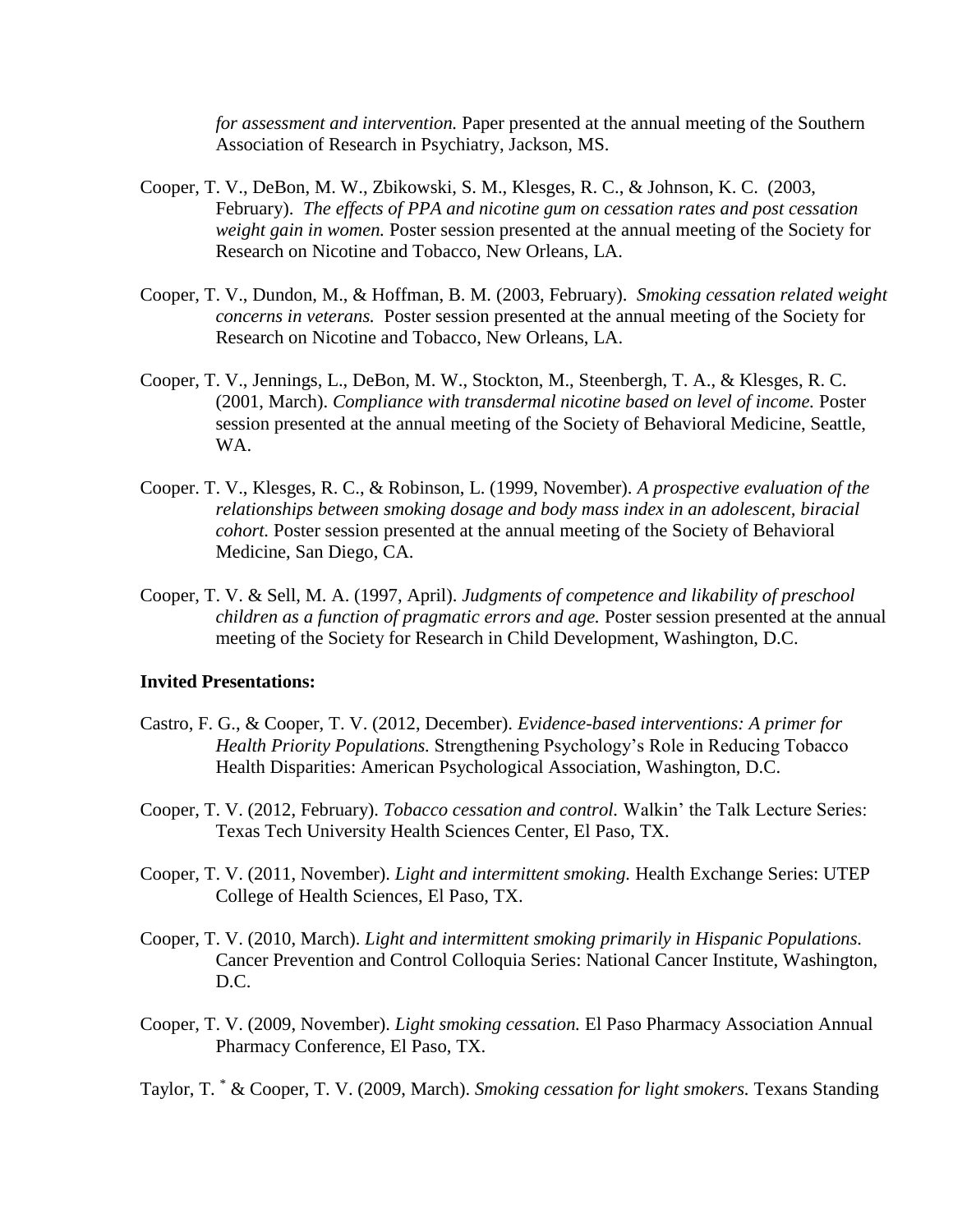*for assessment and intervention.* Paper presented at the annual meeting of the Southern Association of Research in Psychiatry, Jackson, MS.

- Cooper, T. V., DeBon, M. W., Zbikowski, S. M., Klesges, R. C., & Johnson, K. C. (2003, February). *The effects of PPA and nicotine gum on cessation rates and post cessation weight gain in women.* Poster session presented at the annual meeting of the Society for Research on Nicotine and Tobacco, New Orleans, LA.
- Cooper, T. V., Dundon, M., & Hoffman, B. M. (2003, February). *Smoking cessation related weight concerns in veterans.* Poster session presented at the annual meeting of the Society for Research on Nicotine and Tobacco, New Orleans, LA.
- Cooper, T. V., Jennings, L., DeBon, M. W., Stockton, M., Steenbergh, T. A., & Klesges, R. C. (2001, March). *Compliance with transdermal nicotine based on level of income.* Poster session presented at the annual meeting of the Society of Behavioral Medicine, Seattle, WA.
- Cooper. T. V., Klesges, R. C., & Robinson, L. (1999, November). *A prospective evaluation of the relationships between smoking dosage and body mass index in an adolescent, biracial cohort.* Poster session presented at the annual meeting of the Society of Behavioral Medicine, San Diego, CA.
- Cooper, T. V. & Sell, M. A. (1997, April). *Judgments of competence and likability of preschool children as a function of pragmatic errors and age.* Poster session presented at the annual meeting of the Society for Research in Child Development, Washington, D.C.

#### **Invited Presentations:**

- Castro, F. G., & Cooper, T. V. (2012, December). *Evidence-based interventions: A primer for Health Priority Populations.* Strengthening Psychology's Role in Reducing Tobacco Health Disparities: American Psychological Association, Washington, D.C.
- Cooper, T. V. (2012, February). *Tobacco cessation and control.* Walkin' the Talk Lecture Series: Texas Tech University Health Sciences Center, El Paso, TX.
- Cooper, T. V. (2011, November). *Light and intermittent smoking.* Health Exchange Series: UTEP College of Health Sciences, El Paso, TX.
- Cooper, T. V. (2010, March). *Light and intermittent smoking primarily in Hispanic Populations.*  Cancer Prevention and Control Colloquia Series: National Cancer Institute, Washington, D.C.
- Cooper, T. V. (2009, November). *Light smoking cessation.* El Paso Pharmacy Association Annual Pharmacy Conference, El Paso, TX.

Taylor, T. \* & Cooper, T. V. (2009, March). *Smoking cessation for light smokers.* Texans Standing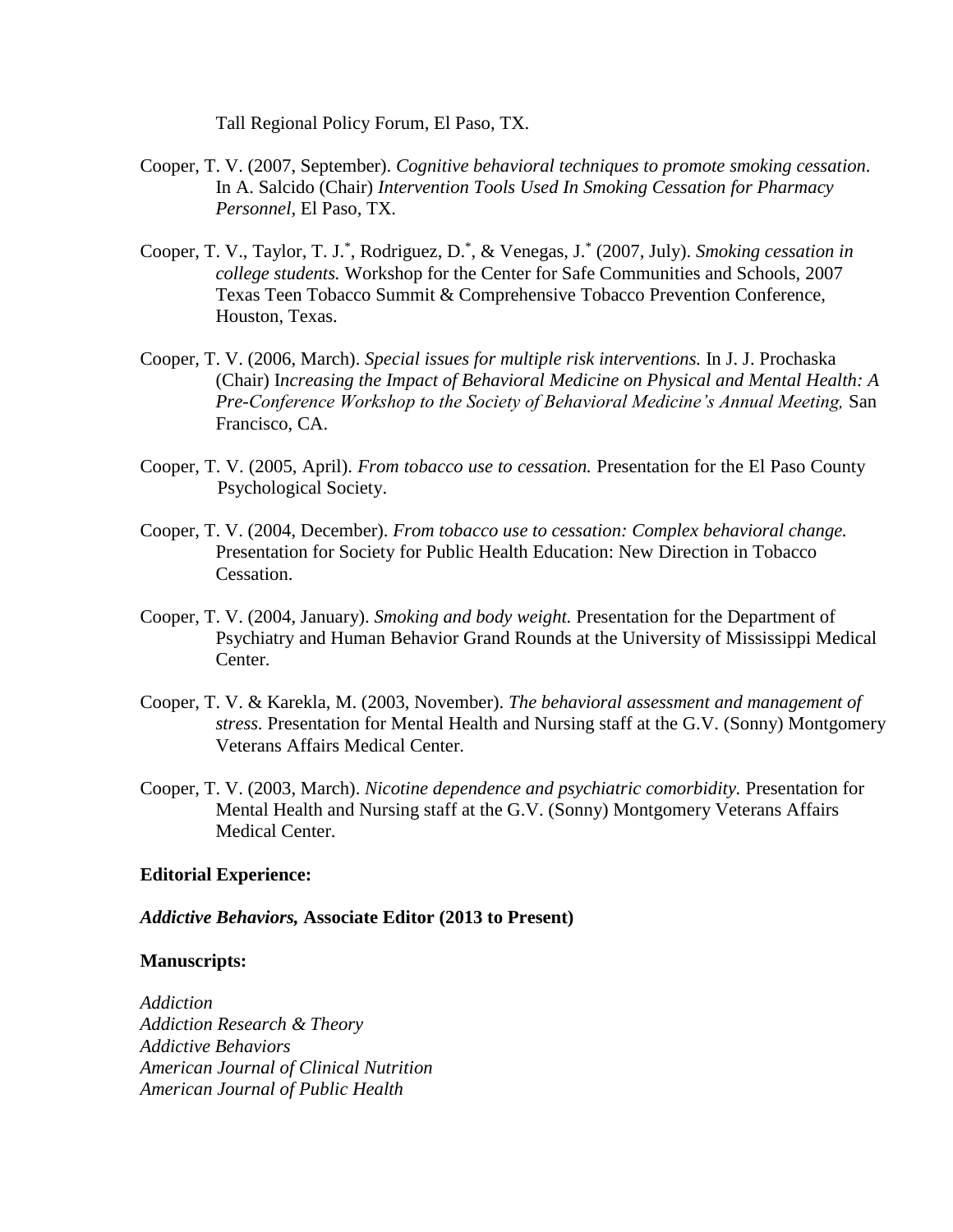Tall Regional Policy Forum, El Paso, TX.

- Cooper, T. V. (2007, September). *Cognitive behavioral techniques to promote smoking cessation.*  In A. Salcido (Chair) *Intervention Tools Used In Smoking Cessation for Pharmacy Personnel,* El Paso, TX.
- Cooper, T. V., Taylor, T. J.\* , Rodriguez, D.\* , & Venegas, J.\* (2007, July). *Smoking cessation in college students.* Workshop for the Center for Safe Communities and Schools, 2007 Texas Teen Tobacco Summit & Comprehensive Tobacco Prevention Conference, Houston, Texas.
- Cooper, T. V. (2006, March). *Special issues for multiple risk interventions.* In J. J. Prochaska (Chair) I*ncreasing the Impact of Behavioral Medicine on Physical and Mental Health: A Pre-Conference Workshop to the Society of Behavioral Medicine's Annual Meeting,* San Francisco, CA.
- Cooper, T. V. (2005, April). *From tobacco use to cessation.* Presentation for the El Paso County Psychological Society.
- Cooper, T. V. (2004, December). *From tobacco use to cessation: Complex behavioral change.* Presentation for Society for Public Health Education: New Direction in Tobacco Cessation.
- Cooper, T. V. (2004, January). *Smoking and body weight.* Presentation for the Department of Psychiatry and Human Behavior Grand Rounds at the University of Mississippi Medical Center.
- Cooper, T. V. & Karekla, M. (2003, November). *The behavioral assessment and management of stress.* Presentation for Mental Health and Nursing staff at the G.V. (Sonny) Montgomery Veterans Affairs Medical Center.
- Cooper, T. V. (2003, March). *Nicotine dependence and psychiatric comorbidity.* Presentation for Mental Health and Nursing staff at the G.V. (Sonny) Montgomery Veterans Affairs Medical Center.

#### **Editorial Experience:**

#### *Addictive Behaviors,* **Associate Editor (2013 to Present)**

#### **Manuscripts:**

*Addiction Addiction Research & Theory Addictive Behaviors American Journal of Clinical Nutrition American Journal of Public Health*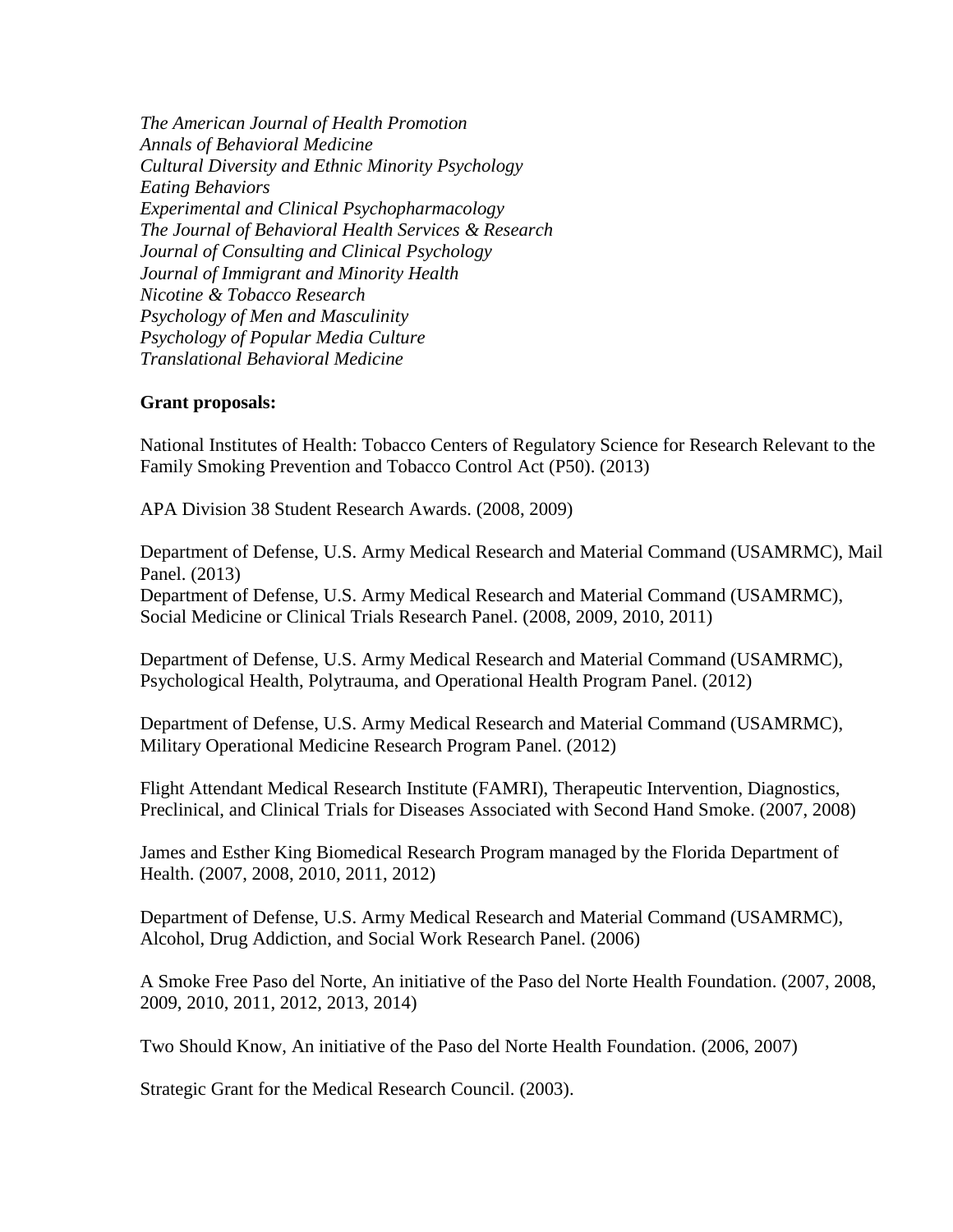*The American Journal of Health Promotion Annals of Behavioral Medicine Cultural Diversity and Ethnic Minority Psychology Eating Behaviors Experimental and Clinical Psychopharmacology The Journal of Behavioral Health Services & Research Journal of Consulting and Clinical Psychology Journal of Immigrant and Minority Health Nicotine & Tobacco Research Psychology of Men and Masculinity Psychology of Popular Media Culture Translational Behavioral Medicine*

#### **Grant proposals:**

National Institutes of Health: Tobacco Centers of Regulatory Science for Research Relevant to the Family Smoking Prevention and Tobacco Control Act (P50). (2013)

APA Division 38 Student Research Awards. (2008, 2009)

Department of Defense, U.S. Army Medical Research and Material Command (USAMRMC), Mail Panel. (2013)

Department of Defense, U.S. Army Medical Research and Material Command (USAMRMC), Social Medicine or Clinical Trials Research Panel. (2008, 2009, 2010, 2011)

Department of Defense, U.S. Army Medical Research and Material Command (USAMRMC), Psychological Health, Polytrauma, and Operational Health Program Panel. (2012)

Department of Defense, U.S. Army Medical Research and Material Command (USAMRMC), Military Operational Medicine Research Program Panel. (2012)

Flight Attendant Medical Research Institute (FAMRI), Therapeutic Intervention, Diagnostics, Preclinical, and Clinical Trials for Diseases Associated with Second Hand Smoke. (2007, 2008)

James and Esther King Biomedical Research Program managed by the Florida Department of Health. (2007, 2008, 2010, 2011, 2012)

Department of Defense, U.S. Army Medical Research and Material Command (USAMRMC), Alcohol, Drug Addiction, and Social Work Research Panel. (2006)

A Smoke Free Paso del Norte, An initiative of the Paso del Norte Health Foundation. (2007, 2008, 2009, 2010, 2011, 2012, 2013, 2014)

Two Should Know, An initiative of the Paso del Norte Health Foundation. (2006, 2007)

Strategic Grant for the Medical Research Council. (2003).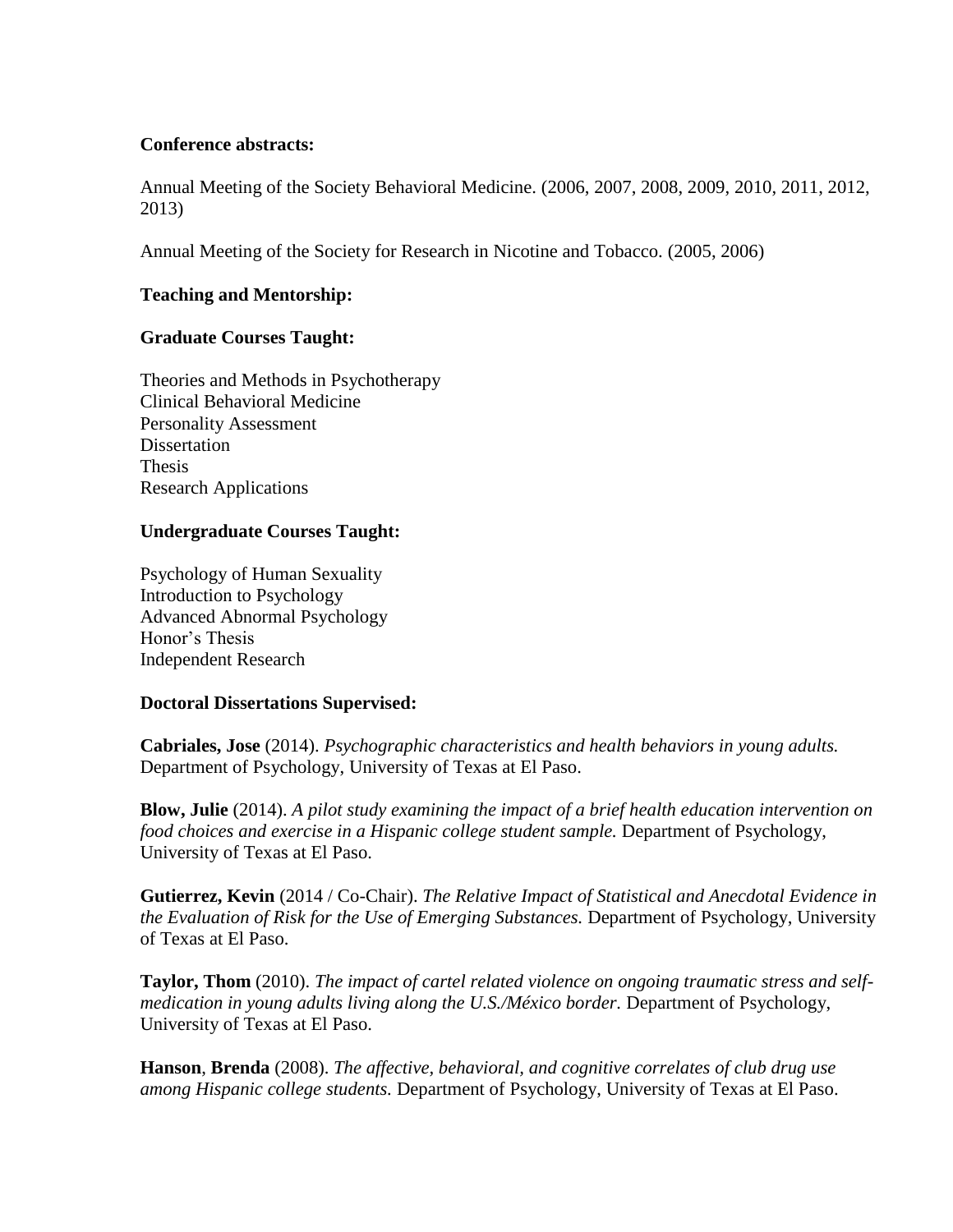### **Conference abstracts:**

Annual Meeting of the Society Behavioral Medicine. (2006, 2007, 2008, 2009, 2010, 2011, 2012, 2013)

Annual Meeting of the Society for Research in Nicotine and Tobacco. (2005, 2006)

## **Teaching and Mentorship:**

### **Graduate Courses Taught:**

Theories and Methods in Psychotherapy Clinical Behavioral Medicine Personality Assessment **Dissertation** Thesis Research Applications

### **Undergraduate Courses Taught:**

Psychology of Human Sexuality Introduction to Psychology Advanced Abnormal Psychology Honor's Thesis Independent Research

### **Doctoral Dissertations Supervised:**

**Cabriales, Jose** (2014). *Psychographic characteristics and health behaviors in young adults.* Department of Psychology, University of Texas at El Paso.

**Blow, Julie** (2014). *A pilot study examining the impact of a brief health education intervention on food choices and exercise in a Hispanic college student sample.* Department of Psychology, University of Texas at El Paso.

**Gutierrez, Kevin** (2014 / Co-Chair). *The Relative Impact of Statistical and Anecdotal Evidence in the Evaluation of Risk for the Use of Emerging Substances.* Department of Psychology, University of Texas at El Paso.

**Taylor, Thom** (2010). *The impact of cartel related violence on ongoing traumatic stress and selfmedication in young adults living along the U.S./México border.* Department of Psychology, University of Texas at El Paso.

**Hanson**, **Brenda** (2008). *The affective, behavioral, and cognitive correlates of club drug use among Hispanic college students.* Department of Psychology, University of Texas at El Paso.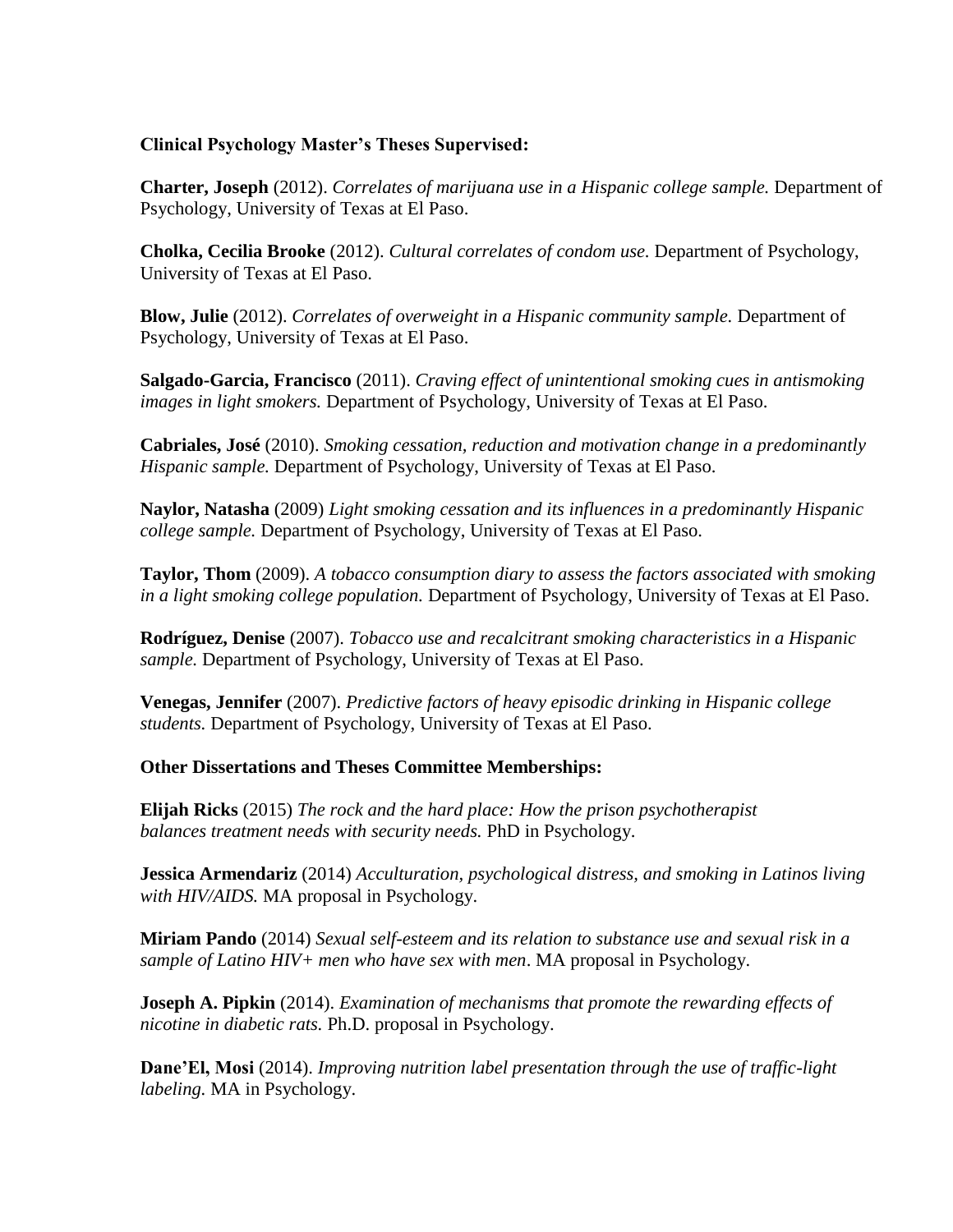### **Clinical Psychology Master's Theses Supervised:**

**Charter, Joseph** (2012). *Correlates of marijuana use in a Hispanic college sample.* Department of Psychology, University of Texas at El Paso.

**Cholka, Cecilia Brooke** (2012). *Cultural correlates of condom use.* Department of Psychology, University of Texas at El Paso.

**Blow, Julie** (2012). *Correlates of overweight in a Hispanic community sample.* Department of Psychology, University of Texas at El Paso.

**Salgado-Garcia, Francisco** (2011). *Craving effect of unintentional smoking cues in antismoking images in light smokers.* Department of Psychology, University of Texas at El Paso.

**Cabriales, José** (2010). *Smoking cessation, reduction and motivation change in a predominantly Hispanic sample.* Department of Psychology, University of Texas at El Paso.

**Naylor, Natasha** (2009) *Light smoking cessation and its influences in a predominantly Hispanic college sample.* Department of Psychology, University of Texas at El Paso.

**Taylor, Thom** (2009). *A tobacco consumption diary to assess the factors associated with smoking in a light smoking college population.* Department of Psychology, University of Texas at El Paso.

**Rodríguez, Denise** (2007). *Tobacco use and recalcitrant smoking characteristics in a Hispanic sample.* Department of Psychology, University of Texas at El Paso.

**Venegas, Jennifer** (2007). *Predictive factors of heavy episodic drinking in Hispanic college students.* Department of Psychology, University of Texas at El Paso.

### **Other Dissertations and Theses Committee Memberships:**

**Elijah Ricks** (2015) *The rock and the hard place: How the prison psychotherapist balances treatment needs with security needs.* PhD in Psychology.

**Jessica Armendariz** (2014) *Acculturation, psychological distress, and smoking in Latinos living with HIV/AIDS.* MA proposal in Psychology.

**Miriam Pando** (2014) *Sexual self-esteem and its relation to substance use and sexual risk in a sample of Latino HIV+ men who have sex with men*. MA proposal in Psychology.

**Joseph A. Pipkin** (2014). *Examination of mechanisms that promote the rewarding effects of nicotine in diabetic rats.* Ph.D. proposal in Psychology.

**Dane'El, Mosi** (2014). *Improving nutrition label presentation through the use of traffic-light labeling.* MA in Psychology.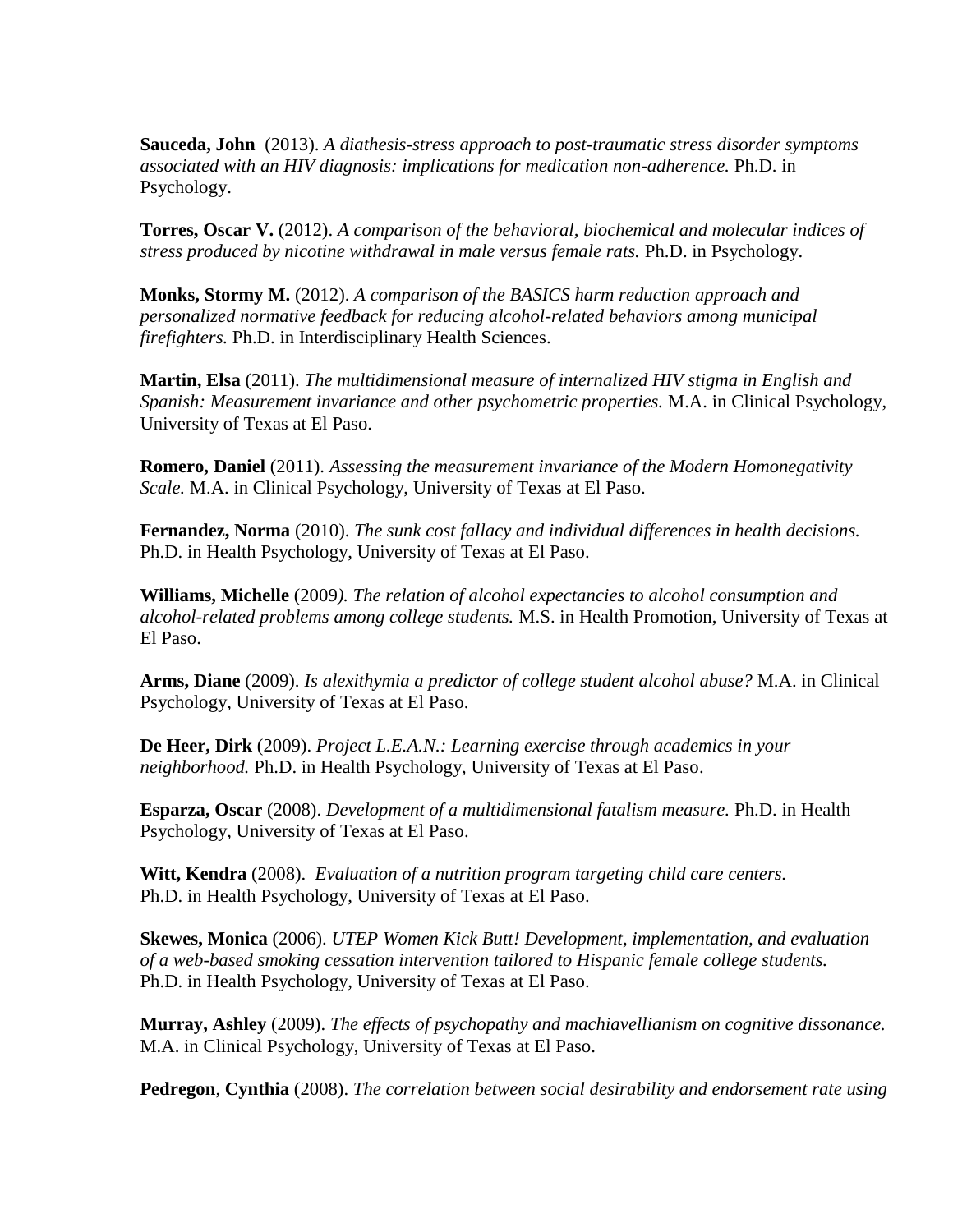**Sauceda, John** (2013). *A diathesis-stress approach to post-traumatic stress disorder symptoms associated with an HIV diagnosis: implications for medication non-adherence.* Ph.D. in Psychology.

**Torres, Oscar V.** (2012). *A comparison of the behavioral, biochemical and molecular indices of stress produced by nicotine withdrawal in male versus female rats.* Ph.D. in Psychology.

**Monks, Stormy M.** (2012). *A comparison of the BASICS harm reduction approach and personalized normative feedback for reducing alcohol-related behaviors among municipal firefighters.* Ph.D. in Interdisciplinary Health Sciences.

**Martin, Elsa** (2011). *The multidimensional measure of internalized HIV stigma in English and Spanish: Measurement invariance and other psychometric properties.* M.A. in Clinical Psychology, University of Texas at El Paso.

**Romero, Daniel** (2011). *Assessing the measurement invariance of the Modern Homonegativity Scale.* M.A. in Clinical Psychology, University of Texas at El Paso.

**Fernandez, Norma** (2010). *The sunk cost fallacy and individual differences in health decisions.* Ph.D. in Health Psychology, University of Texas at El Paso.

**Williams, Michelle** (2009*). The relation of alcohol expectancies to alcohol consumption and alcohol-related problems among college students.* M.S. in Health Promotion, University of Texas at El Paso.

**Arms, Diane** (2009). *Is alexithymia a predictor of college student alcohol abuse?* M.A. in Clinical Psychology, University of Texas at El Paso.

**De Heer, Dirk** (2009). *Project L.E.A.N.: Learning exercise through academics in your neighborhood.* Ph.D. in Health Psychology, University of Texas at El Paso.

**Esparza, Oscar** (2008). *Development of a multidimensional fatalism measure.* Ph.D. in Health Psychology, University of Texas at El Paso.

**Witt, Kendra** (2008). *Evaluation of a nutrition program targeting child care centers.* Ph.D. in Health Psychology, University of Texas at El Paso.

**Skewes, Monica** (2006). *UTEP Women Kick Butt! Development, implementation, and evaluation of a web-based smoking cessation intervention tailored to Hispanic female college students.* Ph.D. in Health Psychology, University of Texas at El Paso.

**Murray, Ashley** (2009). *The effects of psychopathy and machiavellianism on cognitive dissonance.* M.A. in Clinical Psychology, University of Texas at El Paso.

**Pedregon**, **Cynthia** (2008). *The correlation between social desirability and endorsement rate using*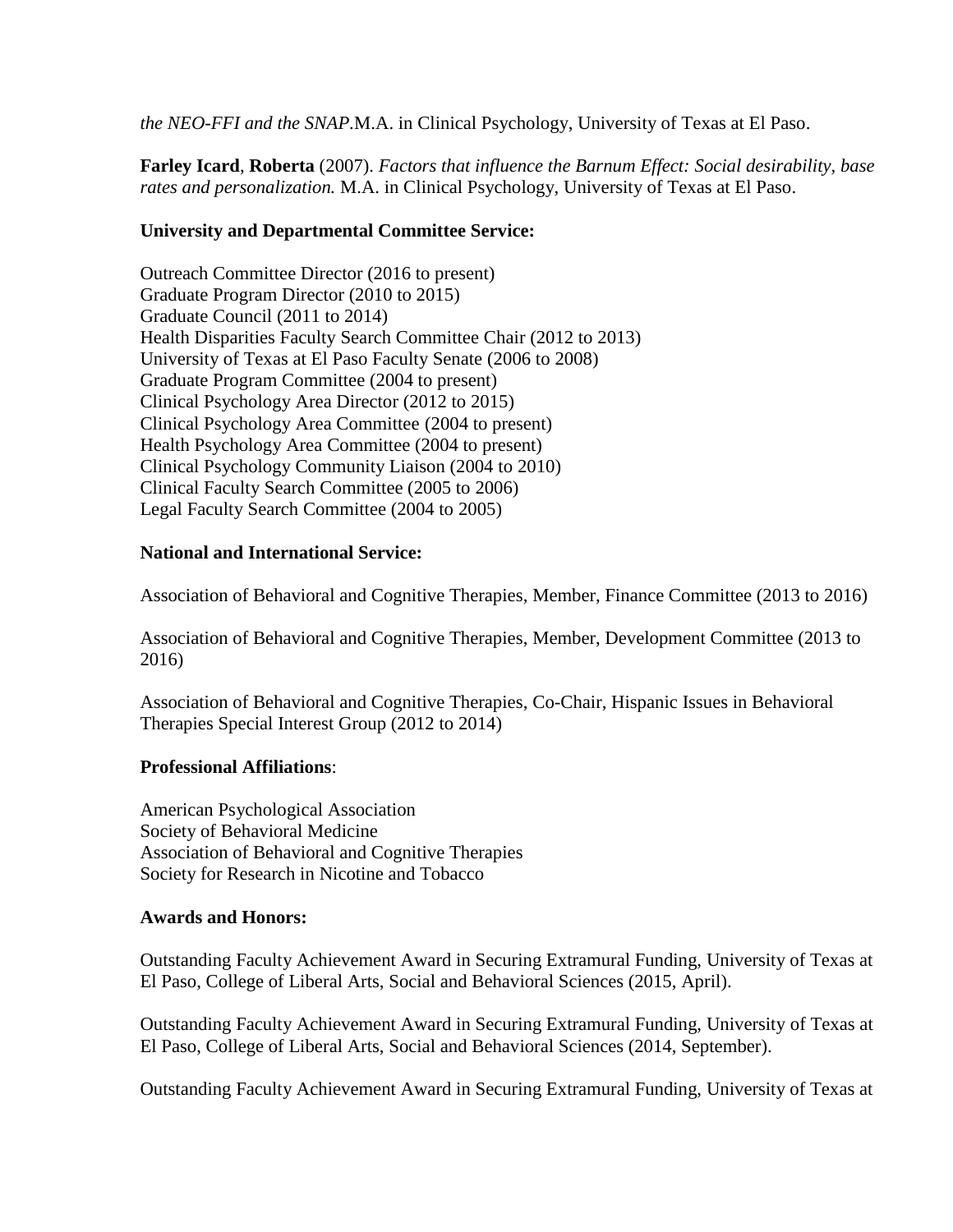*the NEO-FFI and the SNAP.*M.A. in Clinical Psychology, University of Texas at El Paso.

**Farley Icard**, **Roberta** (2007). *Factors that influence the Barnum Effect: Social desirability, base rates and personalization.* M.A. in Clinical Psychology, University of Texas at El Paso.

# **University and Departmental Committee Service:**

Outreach Committee Director (2016 to present) Graduate Program Director (2010 to 2015) Graduate Council (2011 to 2014) Health Disparities Faculty Search Committee Chair (2012 to 2013) University of Texas at El Paso Faculty Senate (2006 to 2008) Graduate Program Committee (2004 to present) Clinical Psychology Area Director (2012 to 2015) Clinical Psychology Area Committee (2004 to present) Health Psychology Area Committee (2004 to present) Clinical Psychology Community Liaison (2004 to 2010) Clinical Faculty Search Committee (2005 to 2006) Legal Faculty Search Committee (2004 to 2005)

# **National and International Service:**

Association of Behavioral and Cognitive Therapies, Member, Finance Committee (2013 to 2016)

Association of Behavioral and Cognitive Therapies, Member, Development Committee (2013 to 2016)

Association of Behavioral and Cognitive Therapies, Co-Chair, Hispanic Issues in Behavioral Therapies Special Interest Group (2012 to 2014)

# **Professional Affiliations**:

American Psychological Association Society of Behavioral Medicine Association of Behavioral and Cognitive Therapies Society for Research in Nicotine and Tobacco

### **Awards and Honors:**

Outstanding Faculty Achievement Award in Securing Extramural Funding, University of Texas at El Paso, College of Liberal Arts, Social and Behavioral Sciences (2015, April).

Outstanding Faculty Achievement Award in Securing Extramural Funding, University of Texas at El Paso, College of Liberal Arts, Social and Behavioral Sciences (2014, September).

Outstanding Faculty Achievement Award in Securing Extramural Funding, University of Texas at